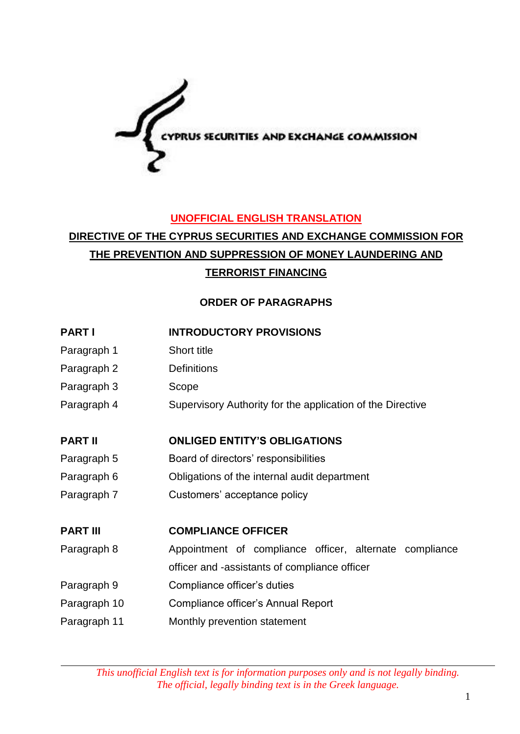

### **UNOFFICIAL ENGLISH TRANSLATION**

# **DIRECTIVE OF THE CYPRUS SECURITIES AND EXCHANGE COMMISSION FOR THE PREVENTION AND SUPPRESSION OF MONEY LAUNDERING AND TERRORIST FINANCING**

### **ORDER OF PARAGRAPHS**

### **PART I INTRODUCTORY PROVISIONS**

- Paragraph 1 Short title
- Paragraph 2 Definitions
- Paragraph 3 Scope
- Paragraph 4 Supervisory Authority for the application of the Directive

### **PART II ONLIGED ENTITY'S OBLIGATIONS**

- Paragraph 5 Board of directors' responsibilities
- Paragraph 6 Obligations of the internal audit department
- Paragraph 7 Customers' acceptance policy

### **PART III COMPLIANCE OFFICER**

- Paragraph 8 Appointment of compliance officer, alternate compliance
- officer and -assistants of compliance officer
- Paragraph 9 Compliance officer's duties
- Paragraph 10 Compliance officer's Annual Report
- Paragraph 11 Monthly prevention statement

*This unofficial English text is for information purposes only and is not legally binding. The official, legally binding text is in the Greek language.*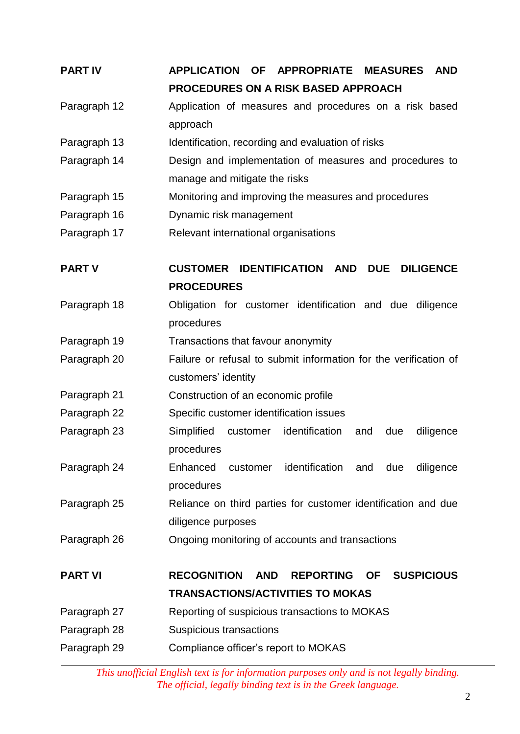| <b>PART IV</b> | <b>APPLICATION</b><br><b>APPROPRIATE</b><br><b>MEASURES</b><br><b>OF</b><br><b>AND</b> |  |  |
|----------------|----------------------------------------------------------------------------------------|--|--|
|                | <b>PROCEDURES ON A RISK BASED APPROACH</b>                                             |  |  |
| Paragraph 12   | Application of measures and procedures on a risk based                                 |  |  |
|                | approach                                                                               |  |  |
| Paragraph 13   | Identification, recording and evaluation of risks                                      |  |  |
| Paragraph 14   | Design and implementation of measures and procedures to                                |  |  |
|                | manage and mitigate the risks                                                          |  |  |
| Paragraph 15   | Monitoring and improving the measures and procedures                                   |  |  |
| Paragraph 16   | Dynamic risk management                                                                |  |  |
| Paragraph 17   | Relevant international organisations                                                   |  |  |
| <b>PART V</b>  | <b>IDENTIFICATION AND</b><br><b>CUSTOMER</b><br><b>DUE</b><br><b>DILIGENCE</b>         |  |  |
|                | <b>PROCEDURES</b>                                                                      |  |  |
| Paragraph 18   | Obligation for customer identification and due diligence                               |  |  |
|                | procedures                                                                             |  |  |
| Paragraph 19   | Transactions that favour anonymity                                                     |  |  |
| Paragraph 20   | Failure or refusal to submit information for the verification of                       |  |  |
|                | customers' identity                                                                    |  |  |
| Paragraph 21   | Construction of an economic profile                                                    |  |  |
| Paragraph 22   | Specific customer identification issues                                                |  |  |
| Paragraph 23   | identification<br>customer<br>Simplified<br>due<br>diligence<br>and                    |  |  |
|                | procedures                                                                             |  |  |
| Paragraph 24   | Enhanced<br>identification and<br>due<br>diligence<br>customer                         |  |  |
|                | procedures                                                                             |  |  |
| Paragraph 25   | Reliance on third parties for customer identification and due                          |  |  |
|                | diligence purposes                                                                     |  |  |
| Paragraph 26   | Ongoing monitoring of accounts and transactions                                        |  |  |
| <b>PART VI</b> | <b>RECOGNITION</b><br><b>AND</b><br><b>REPORTING</b><br><b>OF</b><br><b>SUSPICIOUS</b> |  |  |
|                | <b>TRANSACTIONS/ACTIVITIES TO MOKAS</b>                                                |  |  |
| Paragraph 27   | Reporting of suspicious transactions to MOKAS                                          |  |  |
| Paragraph 28   | Suspicious transactions                                                                |  |  |
| Paragraph 29   | Compliance officer's report to MOKAS                                                   |  |  |
|                |                                                                                        |  |  |

*This unofficial English text is for information purposes only and is not legally binding. The official, legally binding text is in the Greek language.*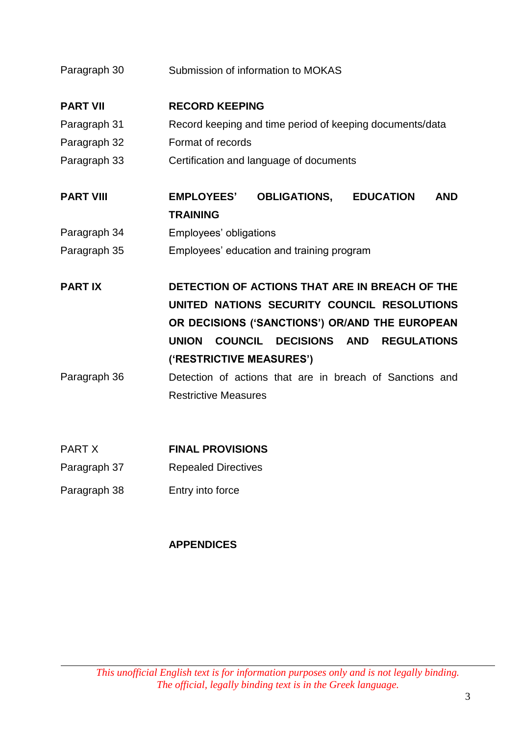| Paragraph 30     | Submission of information to MOKAS                                                     |  |
|------------------|----------------------------------------------------------------------------------------|--|
| <b>PART VII</b>  | <b>RECORD KEEPING</b>                                                                  |  |
| Paragraph 31     | Record keeping and time period of keeping documents/data                               |  |
| Paragraph 32     | Format of records                                                                      |  |
| Paragraph 33     | Certification and language of documents                                                |  |
| <b>PART VIII</b> | <b>OBLIGATIONS, EDUCATION</b><br><b>AND</b><br><b>EMPLOYEES'</b>                       |  |
|                  | <b>TRAINING</b>                                                                        |  |
| Paragraph 34     | Employees' obligations                                                                 |  |
| Paragraph 35     | Employees' education and training program                                              |  |
| <b>PARTIX</b>    | DETECTION OF ACTIONS THAT ARE IN BREACH OF THE                                         |  |
|                  | UNITED NATIONS SECURITY COUNCIL RESOLUTIONS                                            |  |
|                  | OR DECISIONS ('SANCTIONS') OR/AND THE EUROPEAN                                         |  |
|                  | <b>UNION</b><br><b>COUNCIL</b><br><b>DECISIONS</b><br><b>AND</b><br><b>REGULATIONS</b> |  |
|                  | ('RESTRICTIVE MEASURES')                                                               |  |
| Paragraph 36     | Detection of actions that are in breach of Sanctions and                               |  |
|                  | <b>Restrictive Measures</b>                                                            |  |
| <b>DADTV</b>     | FILLLI BRAVIAIALIA                                                                     |  |

| <b>PART X</b> | <b>FINAL PROVISIONS</b>    |
|---------------|----------------------------|
| Paragraph 37  | <b>Repealed Directives</b> |

Paragraph 38 Entry into force

## **APPENDICES**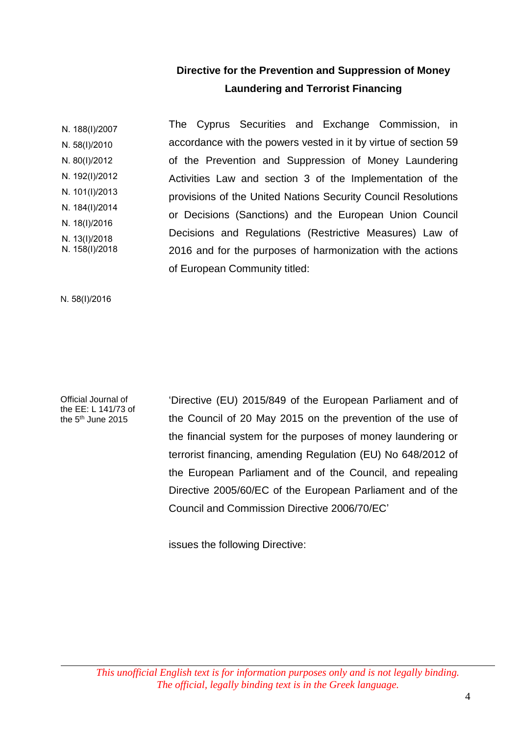## **Directive for the Prevention and Suppression of Money Laundering and Terrorist Financing**

Ν. 188(Ι)/2007 Ν. 58(Ι)/2010 Ν. 80(Ι)/2012 Ν. 192(Ι)/2012 Ν. 101(Ι)/2013 Ν. 184(Ι)/2014 Ν. 18(Ι)/2016 Ν. 13(Ι)/2018 Ν. 158(Ι)/2018 The Cyprus Securities and Exchange Commission, in accordance with the powers vested in it by virtue of section 59 of the Prevention and Suppression of Money Laundering Activities Law and section 3 of the Implementation of the provisions of the United Nations Security Council Resolutions or Decisions (Sanctions) and the European Union Council Decisions and Regulations (Restrictive Measures) Law of 2016 and for the purposes of harmonization with the actions of European Community titled:

N. 58(Ι)/2016

Official Journal of the EE: L 141/73 of the 5<sup>th</sup> June 2015

'Directive (EU) 2015/849 of the European Parliament and of the Council of 20 May 2015 on the prevention of the use of the financial system for the purposes of money laundering or terrorist financing, amending Regulation (EU) No 648/2012 of the European Parliament and of the Council, and repealing Directive 2005/60/EC of the European Parliament and of the Council and Commission Directive 2006/70/EC'

issues the following Directive: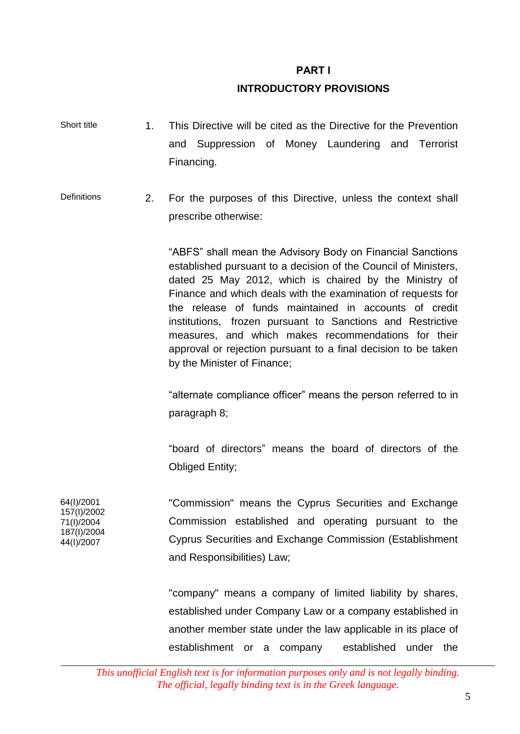#### **PART Ι**

### **INTRODUCTORY PROVISIONS**

- Short title 1. This Directive will be cited as the Directive for the Prevention and Suppression of Money Laundering and Terrorist Financing.
- Definitions 2. For the purposes of this Directive, unless the context shall prescribe otherwise:

"ABFS" shall mean the Advisory Body on Financial Sanctions established pursuant to a decision of the Council of Ministers, dated 25 May 2012, which is chaired by the Ministry of Finance and which deals with the examination of requests for the release of funds maintained in accounts of credit institutions, frozen pursuant to Sanctions and Restrictive measures, and which makes recommendations for their approval or rejection pursuant to a final decision to be taken by the Minister of Finance;

"alternate compliance officer" means the person referred to in paragraph 8;

"board of directors" means the board of directors of the Obliged Entity;

"Commission" means the Cyprus Securities and Exchange Commission established and operating pursuant to the Cyprus Securities and Exchange Commission (Establishment and Responsibilities) Law;

"company" means a company of limited liability by shares, established under Company Law or a company established in another member state under the law applicable in its place of establishment or a company established under the

64(Ι)/2001 157(I)/2002 71(I)/2004 187(I)/2004 44(Ι)/2007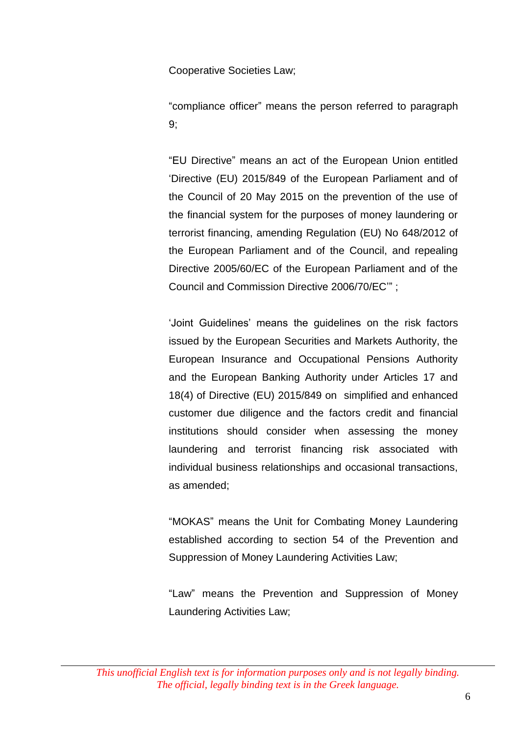Cooperative Societies Law;

"compliance officer" means the person referred to paragraph 9;

"EU Directive" means an act of the European Union entitled 'Directive (EU) 2015/849 of the European Parliament and of the Council of 20 May 2015 on the prevention of the use of the financial system for the purposes of money laundering or terrorist financing, amending Regulation (EU) No 648/2012 of the European Parliament and of the Council, and repealing Directive 2005/60/EC of the European Parliament and of the Council and Commission Directive 2006/70/EC'" ;

'Joint Guidelines' means the guidelines on the risk factors issued by the European Securities and Markets Authority, the European Insurance and Occupational Pensions Authority and the European Banking Authority under Articles 17 and 18(4) of Directive (EU) 2015/849 on simplified and enhanced customer due diligence and the factors credit and financial institutions should consider when assessing the money laundering and terrorist financing risk associated with individual business relationships and occasional transactions, as amended;

"MOKAS" means the Unit for Combating Money Laundering established according to section 54 of the Prevention and Suppression of Money Laundering Activities Law;

"Law" means the Prevention and Suppression of Money Laundering Activities Law;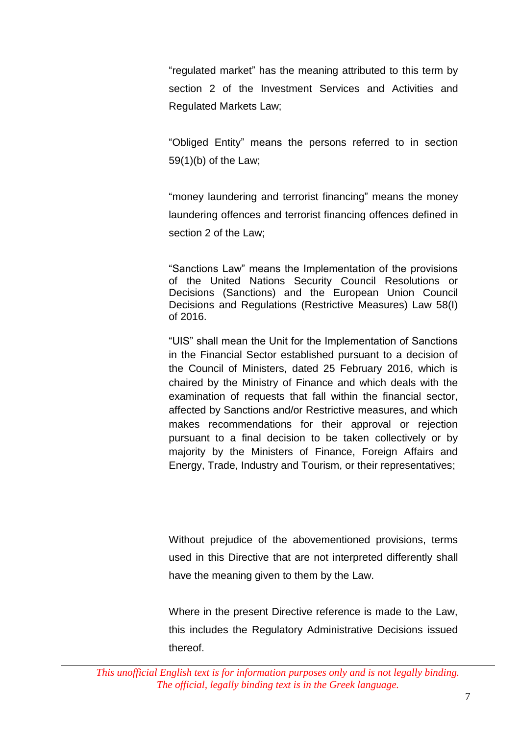"regulated market" has the meaning attributed to this term by section 2 of the Investment Services and Activities and Regulated Markets Law;

"Obliged Entity" means the persons referred to in section 59(1)(b) of the Law;

"money laundering and terrorist financing" means the money laundering offences and terrorist financing offences defined in section 2 of the Law;

"Sanctions Law" means the Implementation of the provisions of the United Nations Security Council Resolutions or Decisions (Sanctions) and the European Union Council Decisions and Regulations (Restrictive Measures) Law 58(I) of 2016.

"UIS" shall mean the Unit for the Implementation of Sanctions in the Financial Sector established pursuant to a decision of the Council of Ministers, dated 25 February 2016, which is chaired by the Ministry of Finance and which deals with the examination of requests that fall within the financial sector, affected by Sanctions and/or Restrictive measures, and which makes recommendations for their approval or rejection pursuant to a final decision to be taken collectively or by majority by the Ministers of Finance, Foreign Affairs and Energy, Trade, Industry and Tourism, or their representatives;

Without prejudice of the abovementioned provisions, terms used in this Directive that are not interpreted differently shall have the meaning given to them by the Law.

Where in the present Directive reference is made to the Law, this includes the Regulatory Administrative Decisions issued thereof.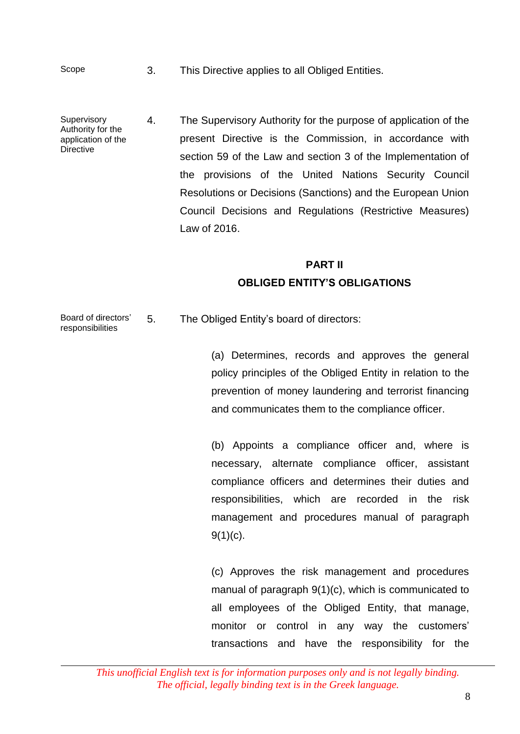Scope 3. This Directive applies to all Obliged Entities.

**Supervisory** Authority for the application of the **Directive** 4. The Supervisory Authority for the purpose of application of the present Directive is the Commission, in accordance with section 59 of the Law and section 3 of the Implementation of the provisions of the United Nations Security Council Resolutions or Decisions (Sanctions) and the European Union Council Decisions and Regulations (Restrictive Measures) Law of 2016.

## **PART II OBLIGED ENTITY'S OBLIGATIONS**

Board of directors' responsibilities 5. The Obliged Entity's board of directors:

> (a) Determines, records and approves the general policy principles of the Obliged Entity in relation to the prevention of money laundering and terrorist financing and communicates them to the compliance officer.

> (b) Appoints a compliance officer and, where is necessary, alternate compliance officer, assistant compliance officers and determines their duties and responsibilities, which are recorded in the risk management and procedures manual of paragraph  $9(1)(c)$ .

> (c) Approves the risk management and procedures manual of paragraph 9(1)(c), which is communicated to all employees of the Obliged Entity, that manage, monitor or control in any way the customers' transactions and have the responsibility for the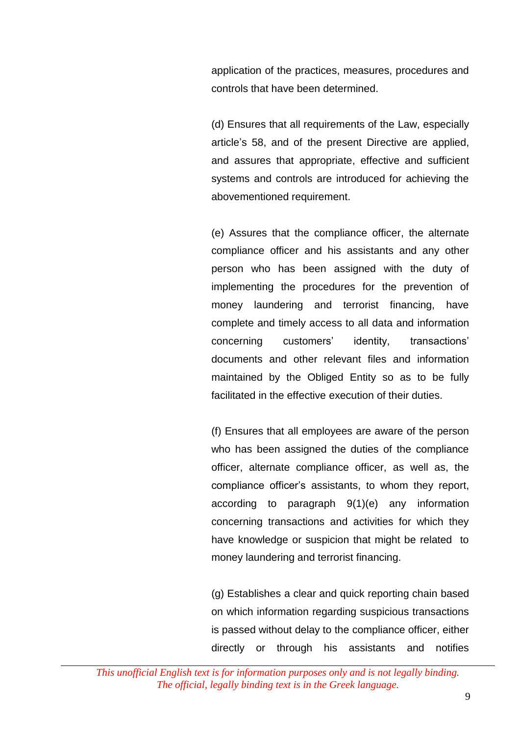application of the practices, measures, procedures and controls that have been determined.

(d) Ensures that all requirements of the Law, especially article's 58, and of the present Directive are applied, and assures that appropriate, effective and sufficient systems and controls are introduced for achieving the abovementioned requirement.

(e) Assures that the compliance officer, the alternate compliance officer and his assistants and any other person who has been assigned with the duty of implementing the procedures for the prevention of money laundering and terrorist financing, have complete and timely access to all data and information concerning customers' identity, transactions' documents and other relevant files and information maintained by the Obliged Entity so as to be fully facilitated in the effective execution of their duties.

(f) Ensures that all employees are aware of the person who has been assigned the duties of the compliance officer, alternate compliance officer, as well as, the compliance officer's assistants, to whom they report, according to paragraph 9(1)(e) any information concerning transactions and activities for which they have knowledge or suspicion that might be related to money laundering and terrorist financing.

(g) Establishes a clear and quick reporting chain based on which information regarding suspicious transactions is passed without delay to the compliance officer, either directly or through his assistants and notifies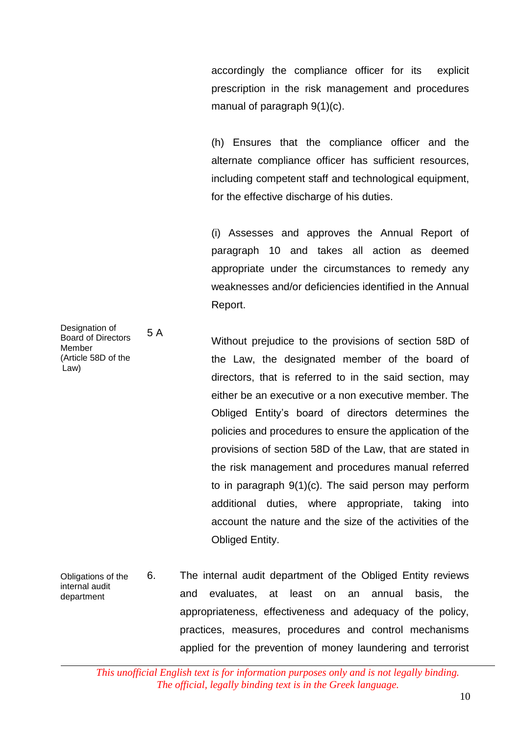accordingly the compliance officer for its explicit prescription in the risk management and procedures manual of paragraph 9(1)(c).

(h) Ensures that the compliance officer and the alternate compliance officer has sufficient resources, including competent staff and technological equipment, for the effective discharge of his duties.

(i) Assesses and approves the Annual Report of paragraph 10 and takes all action as deemed appropriate under the circumstances to remedy any weaknesses and/or deficiencies identified in the Annual Report.

Without prejudice to the provisions of section 58D of the Law, the designated member of the board of directors, that is referred to in the said section, may either be an executive or a non executive member. The Obliged Entity's board of directors determines the policies and procedures to ensure the application of the provisions of section 58D of the Law, that are stated in the risk management and procedures manual referred to in paragraph 9(1)(c). The said person may perform additional duties, where appropriate, taking into account the nature and the size of the activities of the Obliged Entity.

Obligations of the internal audit department 6. The internal audit department of the Obliged Entity reviews and evaluates, at least on an annual basis, the appropriateness, effectiveness and adequacy of the policy, practices, measures, procedures and control mechanisms applied for the prevention of money laundering and terrorist

*This unofficial English text is for information purposes only and is not legally binding. The official, legally binding text is in the Greek language.*

Designation of Board of Directors Member (Article 58D of the Law) 5 A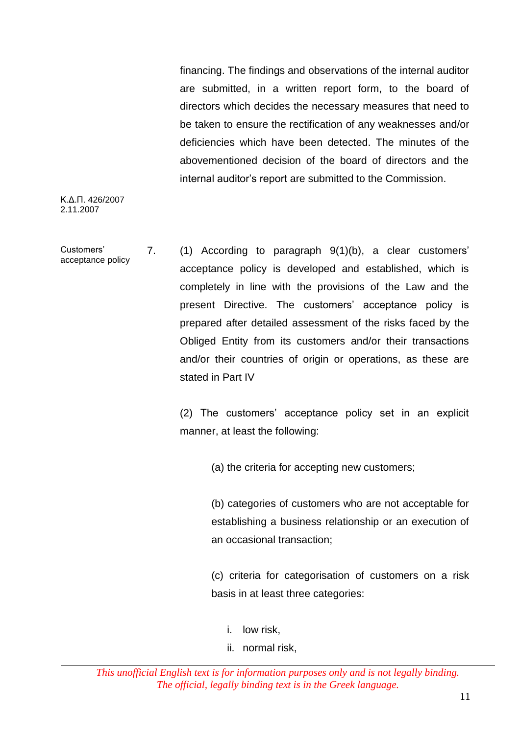financing. The findings and observations of the internal auditor are submitted, in a written report form, to the board of directors which decides the necessary measures that need to be taken to ensure the rectification of any weaknesses and/or deficiencies which have been detected. The minutes of the abovementioned decision of the board of directors and the internal auditor's report are submitted to the Commission.

Κ.Δ.Π. 426/2007 2.11.2007

Customers' acceptance policy 7. (1) According to paragraph 9(1)(b), a clear customers' acceptance policy is developed and established, which is completely in line with the provisions of the Law and the present Directive. The customers' acceptance policy is prepared after detailed assessment of the risks faced by the Obliged Entity from its customers and/or their transactions and/or their countries of origin or operations, as these are stated in Part IV

> (2) The customers' acceptance policy set in an explicit manner, at least the following:

> > (a) the criteria for accepting new customers;

(b) categories of customers who are not acceptable for establishing a business relationship or an execution of an occasional transaction;

(c) criteria for categorisation of customers on a risk basis in at least three categories:

- i. low risk,
- ii. normal risk,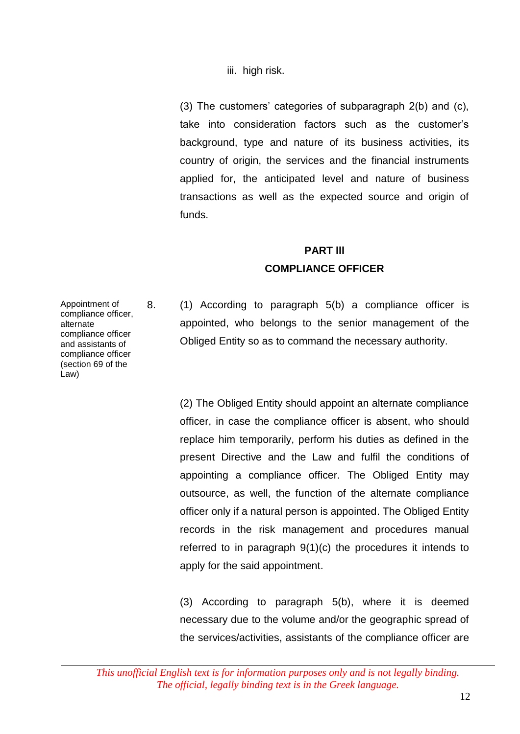iii. high risk.

(3) The customers' categories of subparagraph  $2(b)$  and  $(c)$ , take into consideration factors such as the customer's background, type and nature of its business activities, its country of origin, the services and the financial instruments applied for, the anticipated level and nature of business transactions as well as the expected source and origin of funds.

## **PART ΙΙΙ COMPLIANCE OFFICER**

Appointment of compliance officer, alternate compliance officer and assistants of compliance officer (section 69 of the Law)

8. (1) According to paragraph 5(b) a compliance officer is appointed, who belongs to the senior management of the Obliged Entity so as to command the necessary authority.

> (2) The Obliged Entity should appoint an alternate compliance officer, in case the compliance officer is absent, who should replace him temporarily, perform his duties as defined in the present Directive and the Law and fulfil the conditions of appointing a compliance officer. The Obliged Entity may outsource, as well, the function of the alternate compliance officer only if a natural person is appointed. The Obliged Entity records in the risk management and procedures manual referred to in paragraph 9(1)(c) the procedures it intends to apply for the said appointment.

> (3) According to paragraph 5(b), where it is deemed necessary due to the volume and/or the geographic spread of the services/activities, assistants of the compliance officer are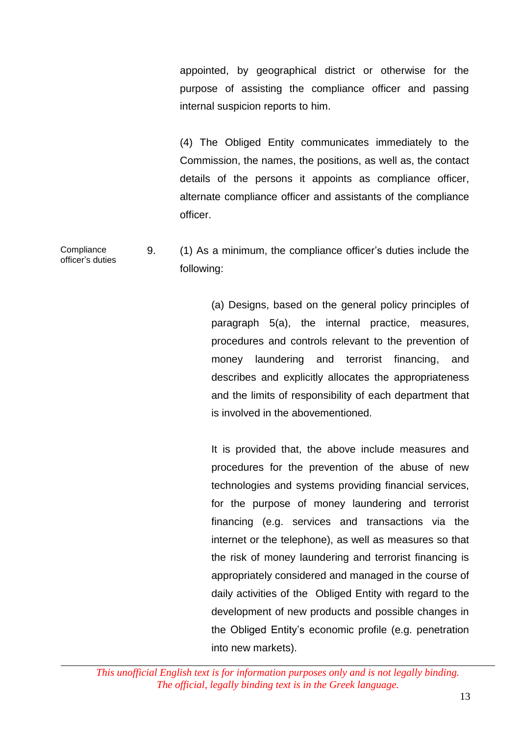appointed, by geographical district or otherwise for the purpose of assisting the compliance officer and passing internal suspicion reports to him.

(4) The Obliged Entity communicates immediately to the Commission, the names, the positions, as well as, the contact details of the persons it appoints as compliance officer, alternate compliance officer and assistants of the compliance officer.

**Compliance** officer's duties 9. (1) As a minimum, the compliance officer's duties include the following:

> (a) Designs, based on the general policy principles of paragraph 5(a), the internal practice, measures, procedures and controls relevant to the prevention of money laundering and terrorist financing, and describes and explicitly allocates the appropriateness and the limits of responsibility of each department that is involved in the abovementioned.

> It is provided that, the above include measures and procedures for the prevention of the abuse of new technologies and systems providing financial services, for the purpose of money laundering and terrorist financing (e.g. services and transactions via the internet or the telephone), as well as measures so that the risk of money laundering and terrorist financing is appropriately considered and managed in the course of daily activities of the Obliged Entity with regard to the development of new products and possible changes in the Obliged Entity's economic profile (e.g. penetration into new markets).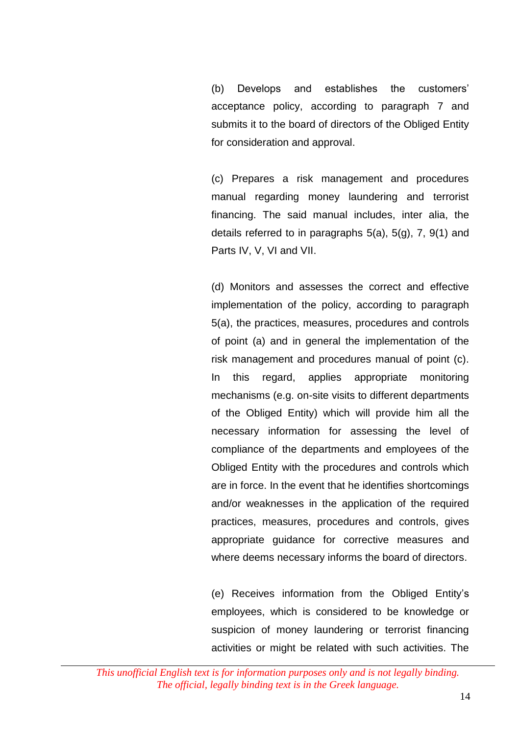(b) Develops and establishes the customers' acceptance policy, according to paragraph 7 and submits it to the board of directors of the Obliged Entity for consideration and approval.

(c) Prepares a risk management and procedures manual regarding money laundering and terrorist financing. The said manual includes, inter alia, the details referred to in paragraphs 5(a), 5(g), 7, 9(1) and Parts IV, V, VI and VII.

(d) Monitors and assesses the correct and effective implementation of the policy, according to paragraph 5(a), the practices, measures, procedures and controls of point (a) and in general the implementation of the risk management and procedures manual of point (c). In this regard, applies appropriate monitoring mechanisms (e.g. on-site visits to different departments of the Obliged Entity) which will provide him all the necessary information for assessing the level of compliance of the departments and employees of the Obliged Entity with the procedures and controls which are in force. In the event that he identifies shortcomings and/or weaknesses in the application of the required practices, measures, procedures and controls, gives appropriate guidance for corrective measures and where deems necessary informs the board of directors.

(e) Receives information from the Obliged Entity's employees, which is considered to be knowledge or suspicion of money laundering or terrorist financing activities or might be related with such activities. The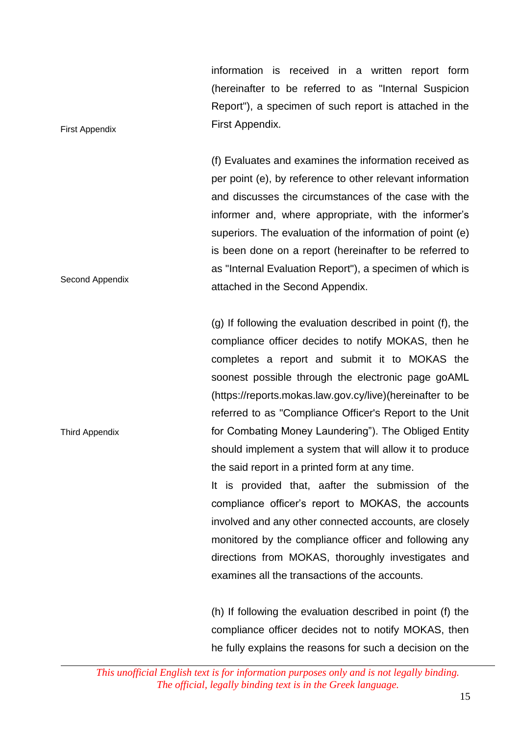information is received in a written report form (hereinafter to be referred to as "Internal Suspicion Report"), a specimen of such report is attached in the First Appendix.

(f) Evaluates and examines the information received as per point (e), by reference to other relevant information and discusses the circumstances of the case with the informer and, where appropriate, with the informer's superiors. The evaluation of the information of point (e) is been done on a report (hereinafter to be referred to as "Internal Evaluation Report"), a specimen of which is attached in the Second Appendix.

(g) If following the evaluation described in point (f), the compliance officer decides to notify MOKAS, then he completes a report and submit it to MOKAS the soonest possible through the electronic page goAML (https://reports.mokas.law.gov.cy/live)(hereinafter to be referred to as "Compliance Officer's Report to the Unit for Combating Money Laundering"). The Obliged Entity should implement a system that will allow it to produce the said report in a printed form at any time.

It is provided that, aafter the submission of the compliance officer's report to MOKAS, the accounts involved and any other connected accounts, are closely monitored by the compliance officer and following any directions from MOKAS, thoroughly investigates and examines all the transactions of the accounts.

(h) If following the evaluation described in point (f) the compliance officer decides not to notify MOKAS, then he fully explains the reasons for such a decision on the

First Appendix

Second Appendix

Third Appendix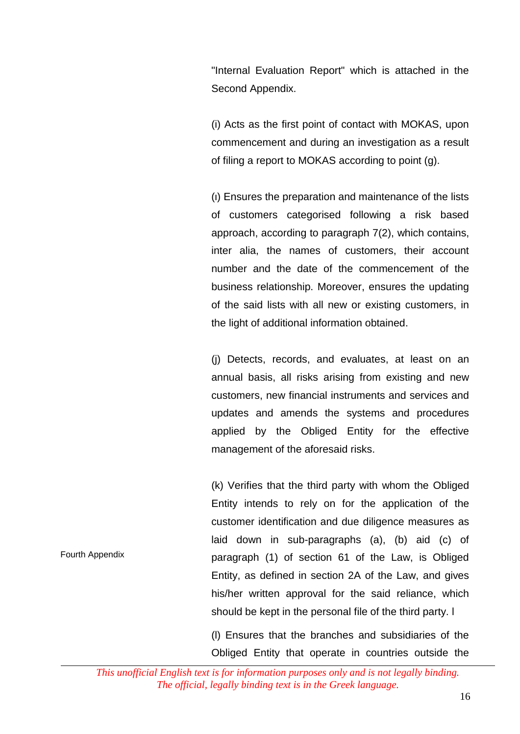"Internal Evaluation Report" which is attached in the Second Appendix.

(i) Acts as the first point of contact with MOKAS, upon commencement and during an investigation as a result of filing a report to MOKAS according to point (g).

(ι) Ensures the preparation and maintenance of the lists of customers categorised following a risk based approach, according to paragraph 7(2), which contains, inter alia, the names of customers, their account number and the date of the commencement of the business relationship. Moreover, ensures the updating of the said lists with all new or existing customers, in the light of additional information obtained.

(j) Detects, records, and evaluates, at least on an annual basis, all risks arising from existing and new customers, new financial instruments and services and updates and amends the systems and procedures applied by the Obliged Entity for the effective management of the aforesaid risks.

(k) Verifies that the third party with whom the Obliged Entity intends to rely on for the application of the customer identification and due diligence measures as laid down in sub-paragraphs (a), (b) aid (c) of paragraph (1) of section 61 of the Law, is Obliged Entity, as defined in section 2A of the Law, and gives his/her written approval for the said reliance, which should be kept in the personal file of the third party. l

(l) Ensures that the branches and subsidiaries of the Obliged Entity that operate in countries outside the

*This unofficial English text is for information purposes only and is not legally binding. The official, legally binding text is in the Greek language.*

Fourth Appendix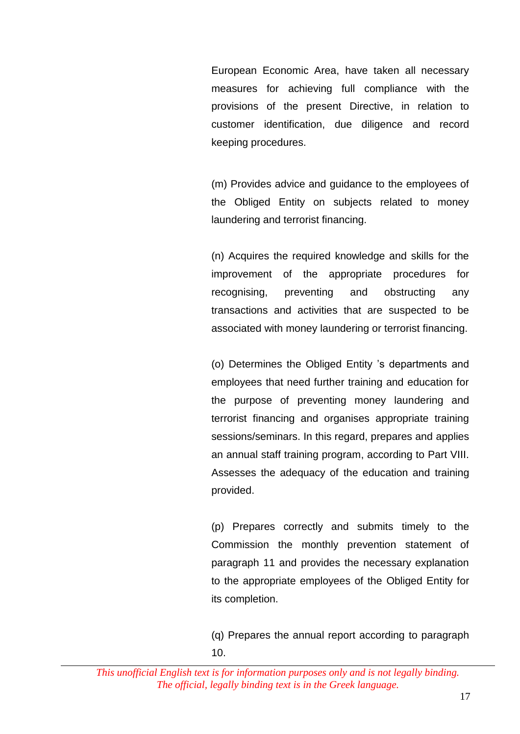European Economic Area, have taken all necessary measures for achieving full compliance with the provisions of the present Directive, in relation to customer identification, due diligence and record keeping procedures.

(m) Provides advice and guidance to the employees of the Obliged Entity on subjects related to money laundering and terrorist financing.

(n) Acquires the required knowledge and skills for the improvement of the appropriate procedures for recognising, preventing and obstructing any transactions and activities that are suspected to be associated with money laundering or terrorist financing.

(o) Determines the Obliged Entity 's departments and employees that need further training and education for the purpose of preventing money laundering and terrorist financing and organises appropriate training sessions/seminars. In this regard, prepares and applies an annual staff training program, according to Part VIII. Assesses the adequacy of the education and training provided.

(p) Prepares correctly and submits timely to the Commission the monthly prevention statement of paragraph 11 and provides the necessary explanation to the appropriate employees of the Obliged Entity for its completion.

(q) Prepares the annual report according to paragraph 10.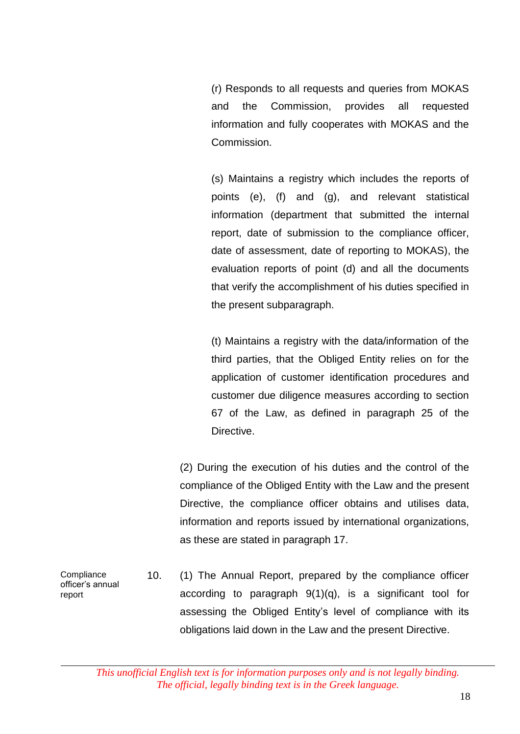(r) Responds to all requests and queries from MOKAS and the Commission, provides all requested information and fully cooperates with MOKAS and the Commission.

(s) Maintains a registry which includes the reports of points (e), (f) and (g), and relevant statistical information (department that submitted the internal report, date of submission to the compliance officer, date of assessment, date of reporting to MOKAS), the evaluation reports of point (d) and all the documents that verify the accomplishment of his duties specified in the present subparagraph.

(t) Maintains a registry with the data/information of the third parties, that the Obliged Entity relies on for the application of customer identification procedures and customer due diligence measures according to section 67 of the Law, as defined in paragraph 25 of the Directive.

(2) During the execution of his duties and the control of the compliance of the Obliged Entity with the Law and the present Directive, the compliance officer obtains and utilises data, information and reports issued by international organizations, as these are stated in paragraph 17.

**Compliance** officer's annual report 10. (1) The Annual Report, prepared by the compliance officer according to paragraph 9(1)(q), is a significant tool for assessing the Obliged Entity's level of compliance with its obligations laid down in the Law and the present Directive.

*This unofficial English text is for information purposes only and is not legally binding. The official, legally binding text is in the Greek language.*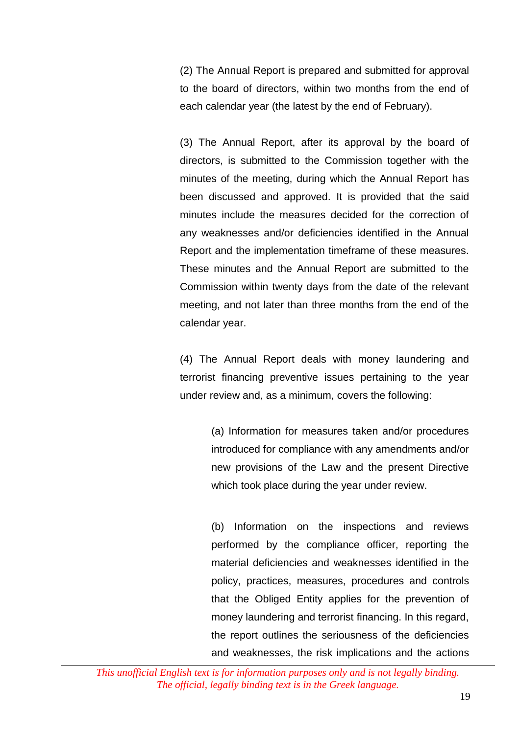(2) The Annual Report is prepared and submitted for approval to the board of directors, within two months from the end of each calendar year (the latest by the end of February).

(3) The Annual Report, after its approval by the board of directors, is submitted to the Commission together with the minutes of the meeting, during which the Annual Report has been discussed and approved. It is provided that the said minutes include the measures decided for the correction of any weaknesses and/or deficiencies identified in the Annual Report and the implementation timeframe of these measures. These minutes and the Annual Report are submitted to the Commission within twenty days from the date of the relevant meeting, and not later than three months from the end of the calendar year.

(4) The Annual Report deals with money laundering and terrorist financing preventive issues pertaining to the year under review and, as a minimum, covers the following:

> (a) Information for measures taken and/or procedures introduced for compliance with any amendments and/or new provisions of the Law and the present Directive which took place during the year under review.

> (b) Information on the inspections and reviews performed by the compliance officer, reporting the material deficiencies and weaknesses identified in the policy, practices, measures, procedures and controls that the Obliged Entity applies for the prevention of money laundering and terrorist financing. In this regard, the report outlines the seriousness of the deficiencies and weaknesses, the risk implications and the actions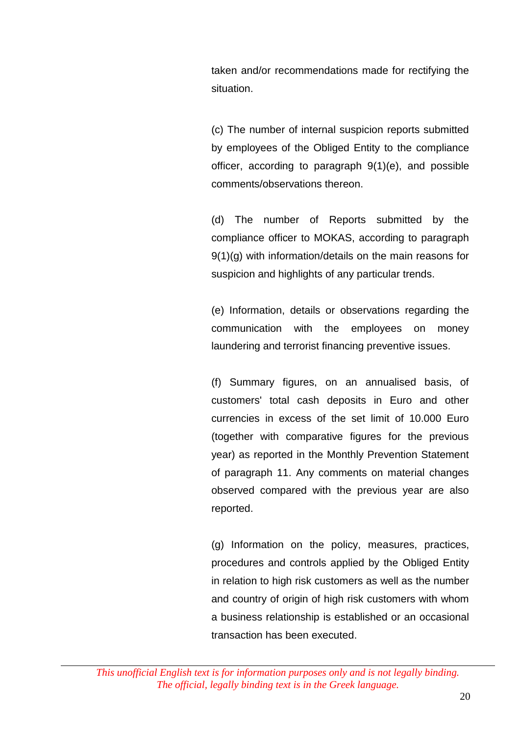taken and/or recommendations made for rectifying the situation.

(c) The number of internal suspicion reports submitted by employees of the Obliged Entity to the compliance officer, according to paragraph 9(1)(e), and possible comments/observations thereon.

(d) The number of Reports submitted by the compliance officer to MOKAS, according to paragraph 9(1)(g) with information/details on the main reasons for suspicion and highlights of any particular trends.

(e) Information, details or observations regarding the communication with the employees on money laundering and terrorist financing preventive issues.

(f) Summary figures, on an annualised basis, of customers' total cash deposits in Euro and other currencies in excess of the set limit of 10.000 Euro (together with comparative figures for the previous year) as reported in the Monthly Prevention Statement of paragraph 11. Any comments on material changes observed compared with the previous year are also reported.

(g) Information on the policy, measures, practices, procedures and controls applied by the Obliged Entity in relation to high risk customers as well as the number and country of origin of high risk customers with whom a business relationship is established or an occasional transaction has been executed.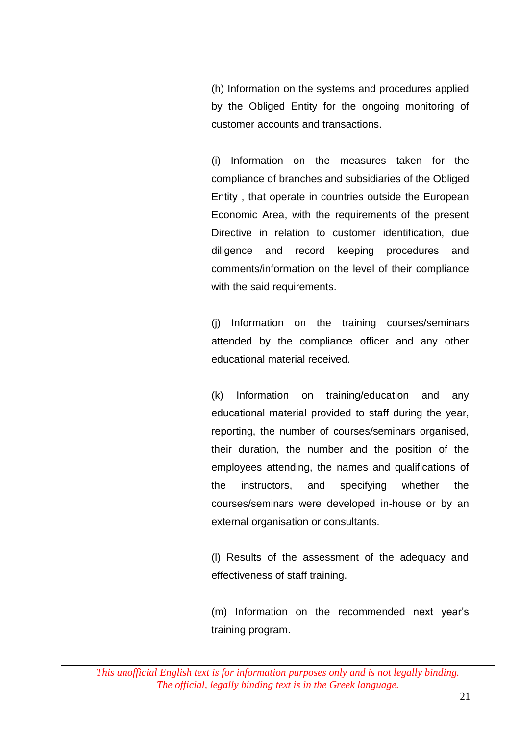(h) Information on the systems and procedures applied by the Obliged Entity for the ongoing monitoring of customer accounts and transactions.

(i) Information on the measures taken for the compliance of branches and subsidiaries of the Obliged Entity , that operate in countries outside the European Economic Area, with the requirements of the present Directive in relation to customer identification, due diligence and record keeping procedures and comments/information on the level of their compliance with the said requirements.

(j) Information on the training courses/seminars attended by the compliance officer and any other educational material received.

(k) Information on training/education and any educational material provided to staff during the year, reporting, the number of courses/seminars organised, their duration, the number and the position of the employees attending, the names and qualifications of the instructors, and specifying whether the courses/seminars were developed in-house or by an external organisation or consultants.

(l) Results of the assessment of the adequacy and effectiveness of staff training.

(m) Information on the recommended next year's training program.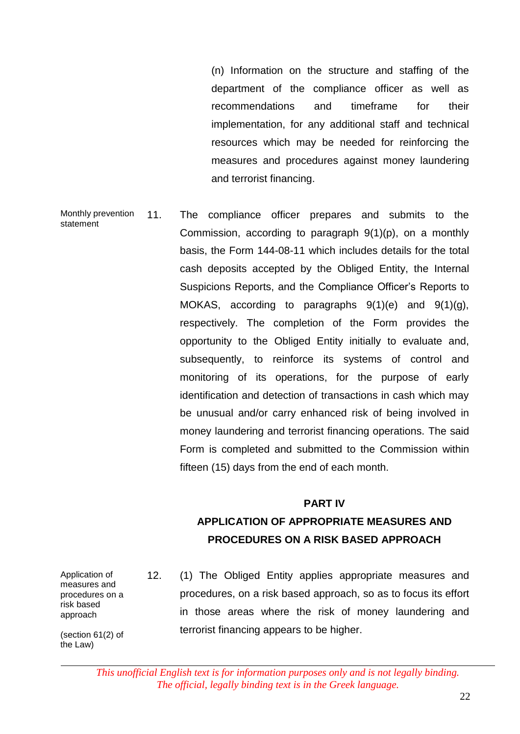(n) Information on the structure and staffing of the department of the compliance officer as well as recommendations and timeframe for their implementation, for any additional staff and technical resources which may be needed for reinforcing the measures and procedures against money laundering and terrorist financing.

Monthly prevention statement 11. The compliance officer prepares and submits to the Commission, according to paragraph 9(1)(p), on a monthly basis, the Form 144-08-11 which includes details for the total cash deposits accepted by the Obliged Entity, the Internal Suspicions Reports, and the Compliance Officer's Reports to MOKAS, according to paragraphs  $9(1)(e)$  and  $9(1)(g)$ , respectively. The completion of the Form provides the opportunity to the Obliged Entity initially to evaluate and, subsequently, to reinforce its systems of control and monitoring of its operations, for the purpose of early identification and detection of transactions in cash which may be unusual and/or carry enhanced risk of being involved in money laundering and terrorist financing operations. The said Form is completed and submitted to the Commission within fifteen (15) days from the end of each month.

#### **PART IV**

## 6 **APPLICATION OF APPROPRIATE MEASURES AND**  6 **PROCEDURES ON A RISK BASED APPROACH**

Application of measures and procedures on a risk based approach

(section 61(2) of the Law)

12. (1) The Obliged Entity applies appropriate measures and procedures, on a risk based approach, so as to focus its effort in those areas where the risk of money laundering and terrorist financing appears to be higher.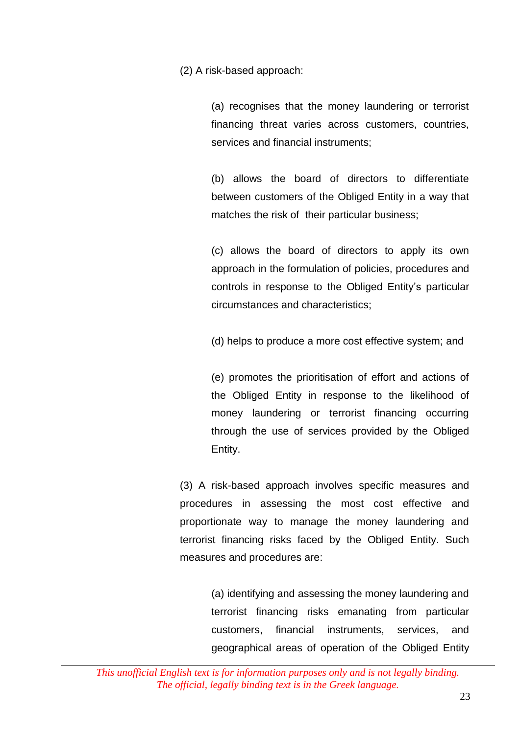(2) A risk-based approach:

(a) recognises that the money laundering or terrorist financing threat varies across customers, countries, services and financial instruments;

(b) allows the board of directors to differentiate between customers of the Obliged Entity in a way that matches the risk of their particular business;

(c) allows the board of directors to apply its own approach in the formulation of policies, procedures and controls in response to the Obliged Entity's particular circumstances and characteristics;

(d) helps to produce a more cost effective system; and

(e) promotes the prioritisation of effort and actions of the Obliged Entity in response to the likelihood of money laundering or terrorist financing occurring through the use of services provided by the Obliged Entity.

(3) A risk-based approach involves specific measures and procedures in assessing the most cost effective and proportionate way to manage the money laundering and terrorist financing risks faced by the Obliged Entity. Such measures and procedures are:

> (a) identifying and assessing the money laundering and terrorist financing risks emanating from particular customers, financial instruments, services, and geographical areas of operation of the Obliged Entity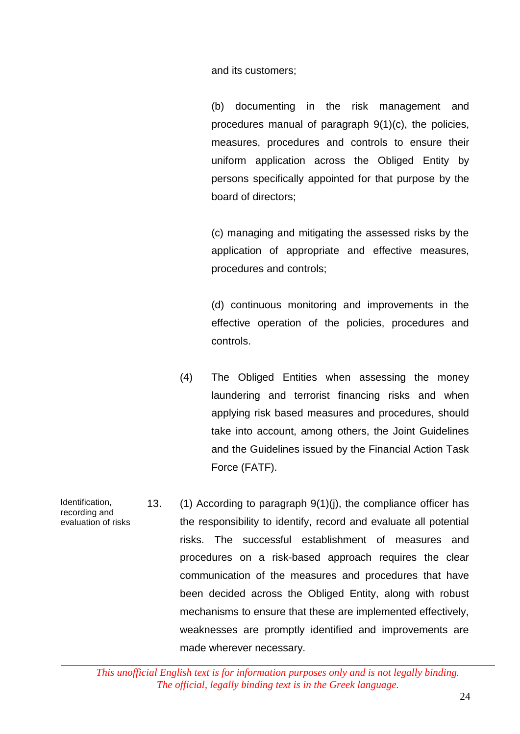and its customers;

(b) documenting in the risk management and procedures manual of paragraph 9(1)(c), the policies, measures, procedures and controls to ensure their uniform application across the Obliged Entity by persons specifically appointed for that purpose by the board of directors;

(c) managing and mitigating the assessed risks by the application of appropriate and effective measures, procedures and controls;

(d) continuous monitoring and improvements in the effective operation of the policies, procedures and controls.

- (4) The Obliged Entities when assessing the money laundering and terrorist financing risks and when applying risk based measures and procedures, should take into account, among others, the Joint Guidelines and the Guidelines issued by the Financial Action Task Force (FATF).
- Identification, recording and evaluation of risks 13. (1) According to paragraph 9(1)(j), the compliance officer has the responsibility to identify, record and evaluate all potential risks. The successful establishment of measures and procedures on a risk-based approach requires the clear communication of the measures and procedures that have been decided across the Obliged Entity, along with robust mechanisms to ensure that these are implemented effectively, weaknesses are promptly identified and improvements are made wherever necessary.

*This unofficial English text is for information purposes only and is not legally binding. The official, legally binding text is in the Greek language.*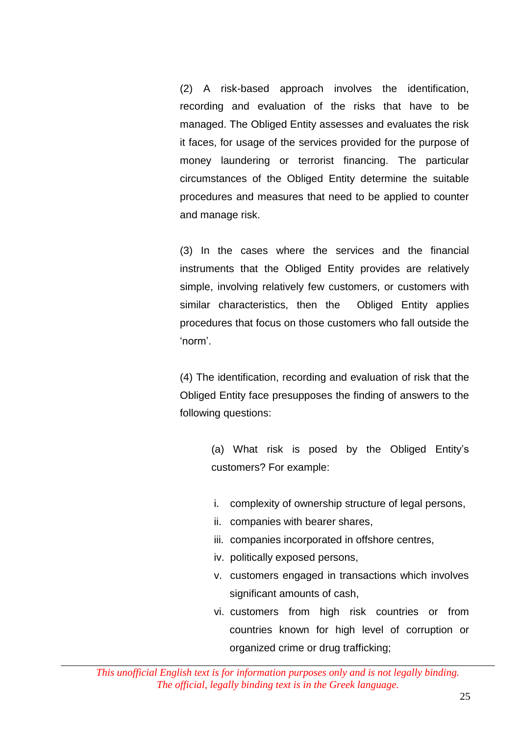(2) A risk-based approach involves the identification, recording and evaluation of the risks that have to be managed. The Obliged Entity assesses and evaluates the risk it faces, for usage of the services provided for the purpose of money laundering or terrorist financing. The particular circumstances of the Obliged Entity determine the suitable procedures and measures that need to be applied to counter and manage risk.

(3) In the cases where the services and the financial instruments that the Obliged Entity provides are relatively simple, involving relatively few customers, or customers with similar characteristics, then the Obliged Entity applies procedures that focus on those customers who fall outside the 'norm'.

(4) The identification, recording and evaluation of risk that the Obliged Entity face presupposes the finding of answers to the following questions:

> (a) What risk is posed by the Obliged Entity's customers? For example:

- i. complexity of ownership structure of legal persons,
- ii. companies with bearer shares,
- iii. companies incorporated in offshore centres,
- iv. politically exposed persons,
- v. customers engaged in transactions which involves significant amounts of cash,
- vi. customers from high risk countries or from countries known for high level of corruption or organized crime or drug trafficking;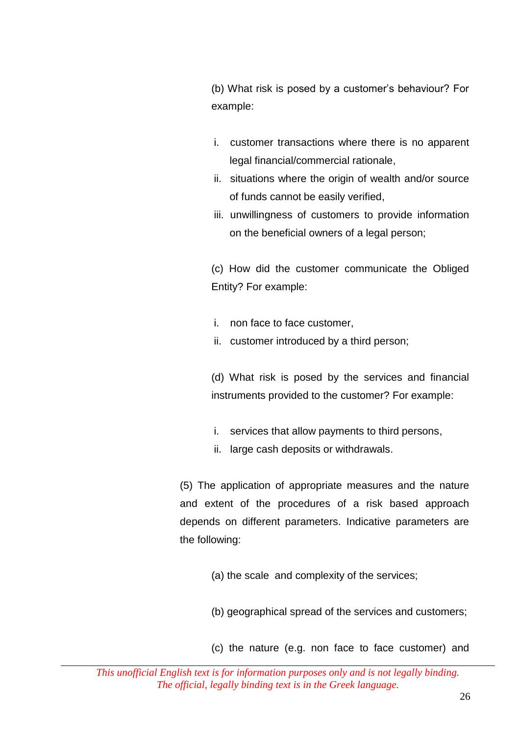(b) What risk is posed by a customer's behaviour? For example:

- i. customer transactions where there is no apparent legal financial/commercial rationale,
- ii. situations where the origin of wealth and/or source of funds cannot be easily verified,
- iii. unwillingness of customers to provide information on the beneficial owners of a legal person;

(c) How did the customer communicate the Obliged Entity? For example:

- i. non face to face customer,
- ii. customer introduced by a third person;

(d) What risk is posed by the services and financial instruments provided to the customer? For example:

- i. services that allow payments to third persons,
- ii. large cash deposits or withdrawals.

(5) The application of appropriate measures and the nature and extent of the procedures of a risk based approach depends on different parameters. Indicative parameters are the following:

- (a) the scale and complexity of the services;
- (b) geographical spread of the services and customers;
- (c) the nature (e.g. non face to face customer) and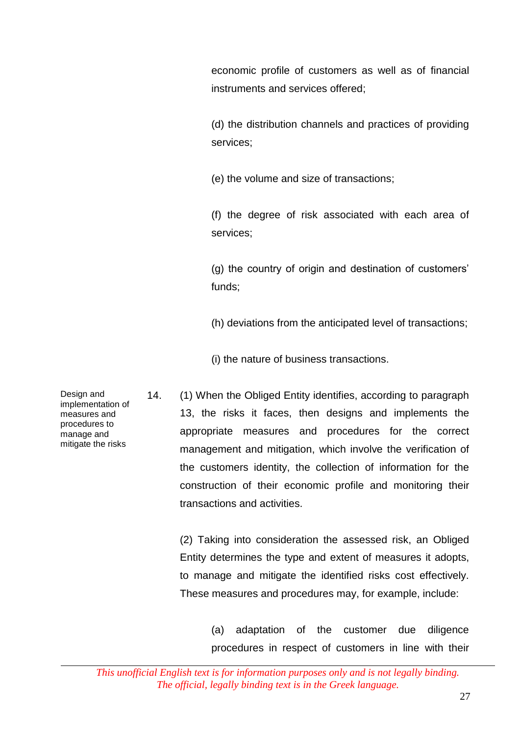economic profile of customers as well as of financial instruments and services offered;

(d) the distribution channels and practices of providing services;

(e) the volume and size of transactions;

(f) the degree of risk associated with each area of services;

(g) the country of origin and destination of customers' funds;

(h) deviations from the anticipated level of transactions;

(i) the nature of business transactions.

14. (1) When the Obliged Entity identifies, according to paragraph 13, the risks it faces, then designs and implements the appropriate measures and procedures for the correct management and mitigation, which involve the verification of the customers identity, the collection of information for the construction of their economic profile and monitoring their transactions and activities.

(2) Taking into consideration the assessed risk, an Obliged Entity determines the type and extent of measures it adopts, to manage and mitigate the identified risks cost effectively. These measures and procedures may, for example, include:

> (a) adaptation of the customer due diligence procedures in respect of customers in line with their

Design and implementation of measures and procedures to manage and mitigate the risks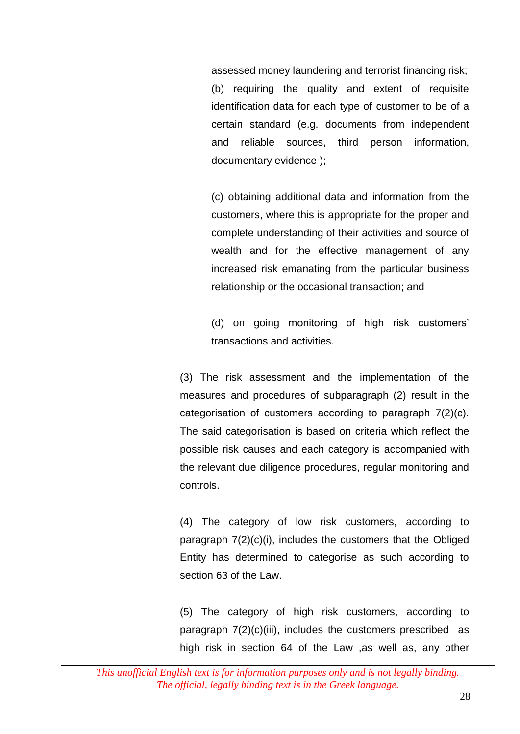assessed money laundering and terrorist financing risk; (b) requiring the quality and extent of requisite identification data for each type of customer to be of a certain standard (e.g. documents from independent and reliable sources, third person information, documentary evidence );

(c) obtaining additional data and information from the customers, where this is appropriate for the proper and complete understanding of their activities and source of wealth and for the effective management of any increased risk emanating from the particular business relationship or the occasional transaction; and

(d) on going monitoring of high risk customers' transactions and activities.

(3) The risk assessment and the implementation of the measures and procedures of subparagraph (2) result in the categorisation of customers according to paragraph 7(2)(c). The said categorisation is based on criteria which reflect the possible risk causes and each category is accompanied with the relevant due diligence procedures, regular monitoring and controls.

(4) The category of low risk customers, according to paragraph 7(2)(c)(i), includes the customers that the Obliged Entity has determined to categorise as such according to section 63 of the Law.

(5) The category of high risk customers, according to paragraph  $7(2)(c)(iii)$ , includes the customers prescribed as high risk in section 64 of the Law ,as well as, any other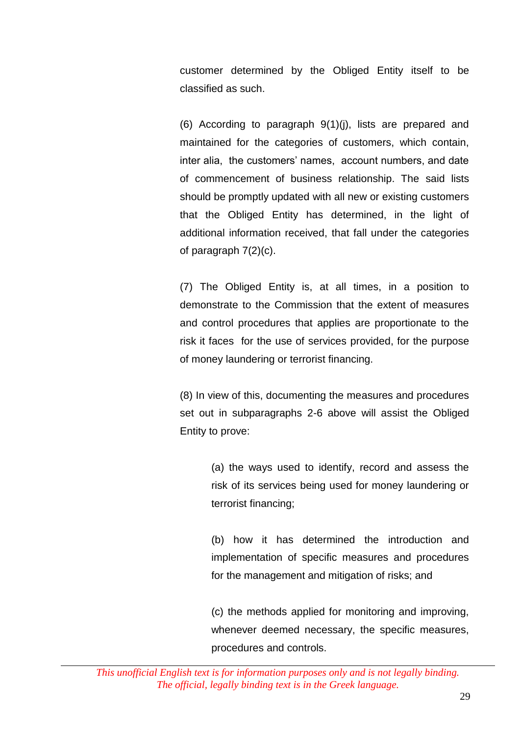customer determined by the Obliged Entity itself to be classified as such.

(6) According to paragraph 9(1)(j), lists are prepared and maintained for the categories of customers, which contain, inter alia, the customers' names, account numbers, and date of commencement of business relationship. The said lists should be promptly updated with all new or existing customers that the Obliged Entity has determined, in the light of additional information received, that fall under the categories of paragraph 7(2)(c).

(7) The Obliged Entity is, at all times, in a position to demonstrate to the Commission that the extent of measures and control procedures that applies are proportionate to the risk it faces for the use of services provided, for the purpose of money laundering or terrorist financing.

(8) In view of this, documenting the measures and procedures set out in subparagraphs 2-6 above will assist the Obliged Entity to prove:

> (a) the ways used to identify, record and assess the risk of its services being used for money laundering or terrorist financing;

> (b) how it has determined the introduction and implementation of specific measures and procedures for the management and mitigation of risks; and

> (c) the methods applied for monitoring and improving, whenever deemed necessary, the specific measures, procedures and controls.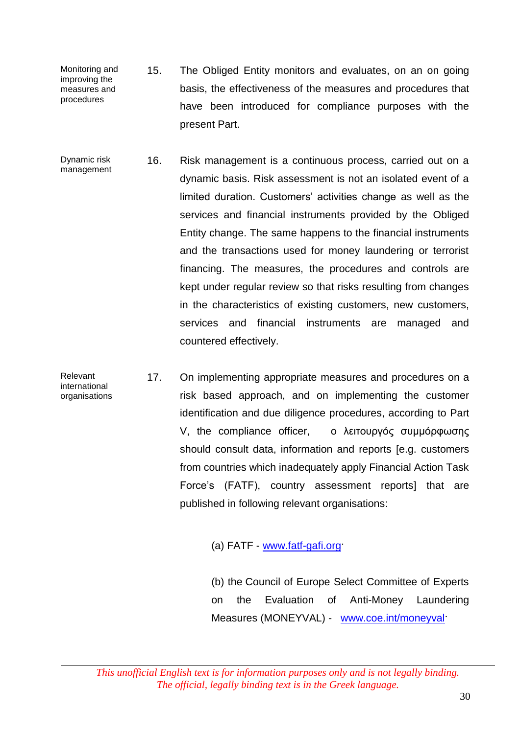- Monitoring and improving the measures and procedures 15. The Obliged Entity monitors and evaluates, on an on going basis, the effectiveness of the measures and procedures that have been introduced for compliance purposes with the present Part.
- Dynamic risk management 16. Risk management is a continuous process, carried out on a dynamic basis. Risk assessment is not an isolated event of a limited duration. Customers' activities change as well as the services and financial instruments provided by the Obliged Entity change. The same happens to the financial instruments and the transactions used for money laundering or terrorist financing. The measures, the procedures and controls are kept under regular review so that risks resulting from changes in the characteristics of existing customers, new customers, services and financial instruments are managed and countered effectively.
- Relevant international organisations 17. On implementing appropriate measures and procedures on a risk based approach, and on implementing the customer identification and due diligence procedures, according to Part V, the compliance officer, ο λειτουργός συμμόρφωσης should consult data, information and reports [e.g. customers from countries which inadequately apply Financial Action Task Force's (FATF), country assessment reports] that are published in following relevant organisations:

(a) FATF - www.fatf-gafi.org

(b) the [Council of Europe Select Committee of Experts](http://www.fatf-gafi.org/document/46/0,3343,en_32250379_32236869_34355246_1_1_1_1,00.html)  [on the Evaluation of Anti-Money Laundering](http://www.fatf-gafi.org/document/46/0,3343,en_32250379_32236869_34355246_1_1_1_1,00.html)  [Measures](http://www.fatf-gafi.org/document/46/0,3343,en_32250379_32236869_34355246_1_1_1_1,00.html) (MONEYVAL) - [www.coe.int/moneyval·](http://www.coe.int/moneyval)

*This unofficial English text is for information purposes only and is not legally binding. The official, legally binding text is in the Greek language.*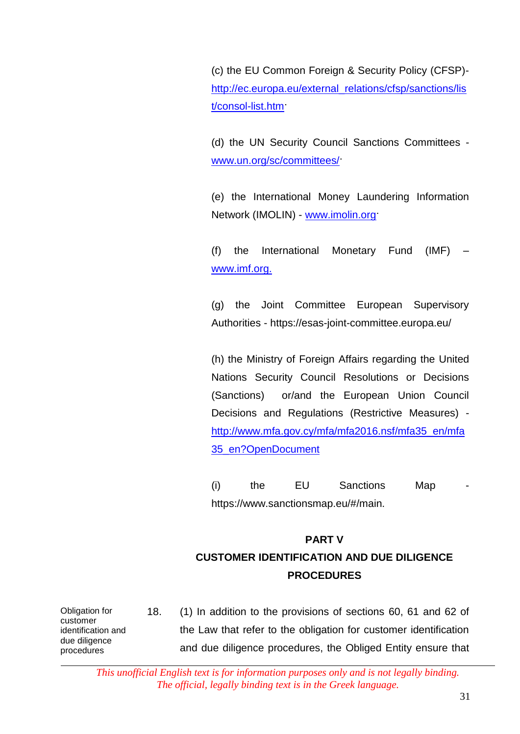(c) the EU Common Foreign & Security Policy (CFSP) [http://ec.europa.eu/external\\_relations/cfsp/sanctions/lis](http://ec.europa.eu/external_relations/cfsp/sanctions/list/consol-list.htm) [t/consol-list.htm·](http://ec.europa.eu/external_relations/cfsp/sanctions/list/consol-list.htm)

(d) the UN Security Council Sanctions Committees [www.un.org/sc/committees/·](http://www.un.org/sc/committees/)

(e) the International Money Laundering Information Network (IMOLIN) - www.imolin.org

(f) the International Monetary Fund (IMF) – [www.imf.org.](http://www.imf.org/)

(g) the Joint Committee European Supervisory Authorities - <https://esas-joint-committee.europa.eu/>

(h) the Ministry of Foreign Affairs regarding the United Nations Security Council Resolutions or Decisions (Sanctions) or/and the European Union Council Decisions and Regulations (Restrictive Measures) [http://www.mfa.gov.cy/mfa/mfa2016.nsf/mfa35\\_en/mfa](http://www.mfa.gov.cy/mfa/mfa2016.nsf/mfa35_en/mfa35_en?OpenDocument) [35\\_en?OpenDocument](http://www.mfa.gov.cy/mfa/mfa2016.nsf/mfa35_en/mfa35_en?OpenDocument)

(i) the EU Sanctions Map https://www.sanctionsmap.eu/#/main.

#### 8. **PART V**

## **CUSTOMER IDENTIFICATION AND DUE DILIGENCE PROCEDURES**

Obligation for customer identification and due diligence procedures

18. (1) In addition to the provisions of sections 60, 61 and 62 of the Law that refer to the obligation for customer identification and due diligence procedures, the Obliged Entity ensure that

*This unofficial English text is for information purposes only and is not legally binding. The official, legally binding text is in the Greek language.*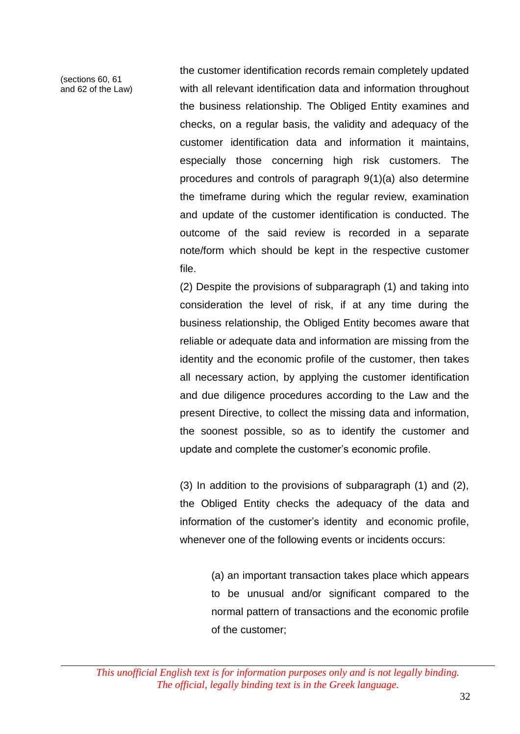(sections 60, 61 and 62 of the Law) the customer identification records remain completely updated with all relevant identification data and information throughout the business relationship. The Obliged Entity examines and checks, on a regular basis, the validity and adequacy of the customer identification data and information it maintains, especially those concerning high risk customers. The procedures and controls of paragraph 9(1)(a) also determine the timeframe during which the regular review, examination and update of the customer identification is conducted. The outcome of the said review is recorded in a separate note/form which should be kept in the respective customer file.

(2) Despite the provisions of subparagraph (1) and taking into consideration the level of risk, if at any time during the business relationship, the Obliged Entity becomes aware that reliable or adequate data and information are missing from the identity and the economic profile of the customer, then takes all necessary action, by applying the customer identification and due diligence procedures according to the Law and the present Directive, to collect the missing data and information, the soonest possible, so as to identify the customer and update and complete the customer's economic profile.

(3) In addition to the provisions of subparagraph  $(1)$  and  $(2)$ , the Obliged Entity checks the adequacy of the data and information of the customer's identity and economic profile, whenever one of the following events or incidents occurs:

> (a) an important transaction takes place which appears to be unusual and/or significant compared to the normal pattern of transactions and the economic profile of the customer;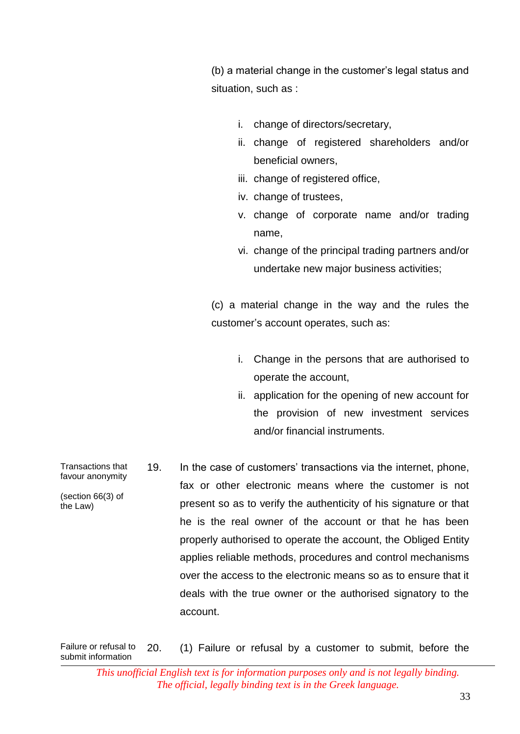(b) a material change in the customer's legal status and situation, such as :

- i. change of directors/secretary,
- ii. change of registered shareholders and/or beneficial owners,
- iii. change of registered office,
- iv. change of trustees,
- v. change of corporate name and/or trading name,
- vi. change of the principal trading partners and/or undertake new major business activities;

(c) a material change in the way and the rules the customer's account operates, such as:

- i. Change in the persons that are authorised to operate the account,
- ii. application for the opening of new account for the provision of new investment services and/or financial instruments.
- Transactions that favour anonymity (section 66(3) of the Law) 19. In the case of customers' transactions via the internet, phone, fax or other electronic means where the customer is not present so as to verify the authenticity of his signature or that he is the real owner of the account or that he has been properly authorised to operate the account, the Obliged Entity applies reliable methods, procedures and control mechanisms over the access to the electronic means so as to ensure that it deals with the true owner or the authorised signatory to the account.

Failure or refusal to submit information 20. (1) Failure or refusal by a customer to submit, before the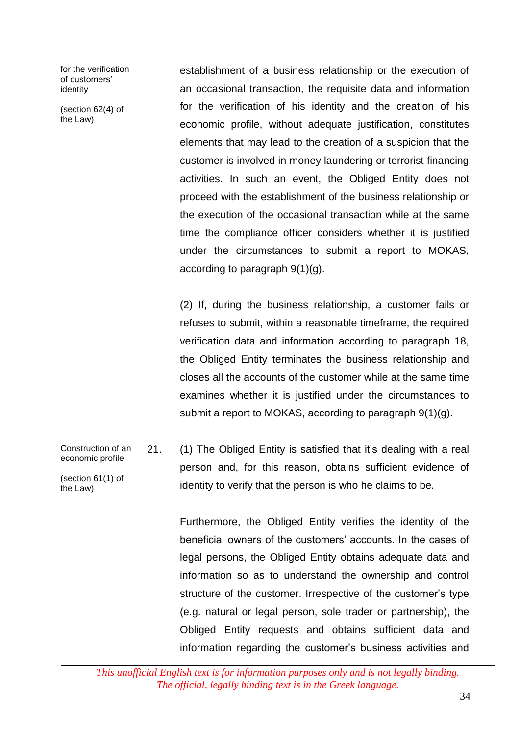for the verification of customers' identity

(section 62(4) of the Law)

establishment of a business relationship or the execution of an occasional transaction, the requisite data and information for the verification of his identity and the creation of his economic profile, without adequate justification, constitutes elements that may lead to the creation of a suspicion that the customer is involved in money laundering or terrorist financing activities. In such an event, the Obliged Entity does not proceed with the establishment of the business relationship or the execution of the occasional transaction while at the same time the compliance officer considers whether it is justified under the circumstances to submit a report to MOKAS, according to paragraph 9(1)(g).

(2) If, during the business relationship, a customer fails or refuses to submit, within a reasonable timeframe, the required verification data and information according to paragraph 18, the Obliged Entity terminates the business relationship and closes all the accounts of the customer while at the same time examines whether it is justified under the circumstances to submit a report to MOKAS, according to paragraph 9(1)(g).

Construction of an economic profile (section 61(1) of the Law) 21. (1) The Obliged Entity is satisfied that it's dealing with a real person and, for this reason, obtains sufficient evidence of identity to verify that the person is who he claims to be.

> Furthermore, the Obliged Entity verifies the identity of the beneficial owners of the customers' accounts. In the cases of legal persons, the Obliged Entity obtains adequate data and information so as to understand the ownership and control structure of the customer. Irrespective of the customer's type (e.g. natural or legal person, sole trader or partnership), the Obliged Entity requests and obtains sufficient data and information regarding the customer's business activities and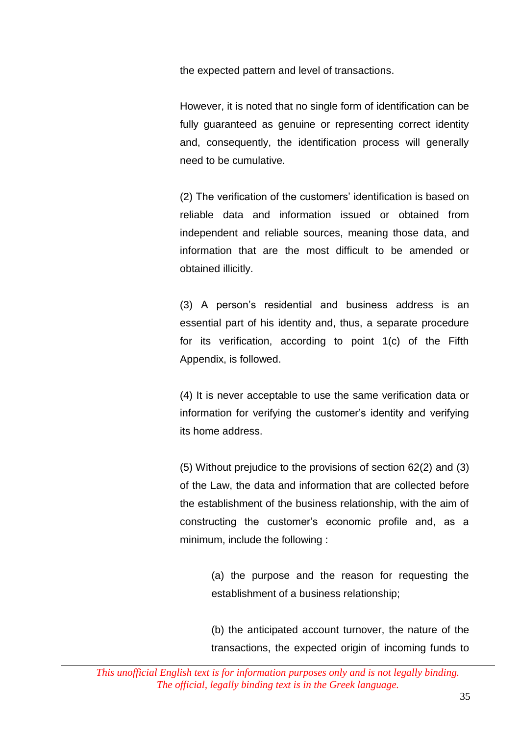the expected pattern and level of transactions.

However, it is noted that no single form of identification can be fully guaranteed as genuine or representing correct identity and, consequently, the identification process will generally need to be cumulative.

(2) The verification of the customers' identification is based on reliable data and information issued or obtained from independent and reliable sources, meaning those data, and information that are the most difficult to be amended or obtained illicitly.

(3) A person's residential and business address is an essential part of his identity and, thus, a separate procedure for its verification, according to point 1(c) of the Fifth Appendix, is followed.

(4) It is never acceptable to use the same verification data or information for verifying the customer's identity and verifying its home address.

(5) Without prejudice to the provisions of section 62(2) and (3) of the Law, the data and information that are collected before the establishment of the business relationship, with the aim of constructing the customer's economic profile and, as a minimum, include the following :

> (a) the purpose and the reason for requesting the establishment of a business relationship;

> (b) the anticipated account turnover, the nature of the transactions, the expected origin of incoming funds to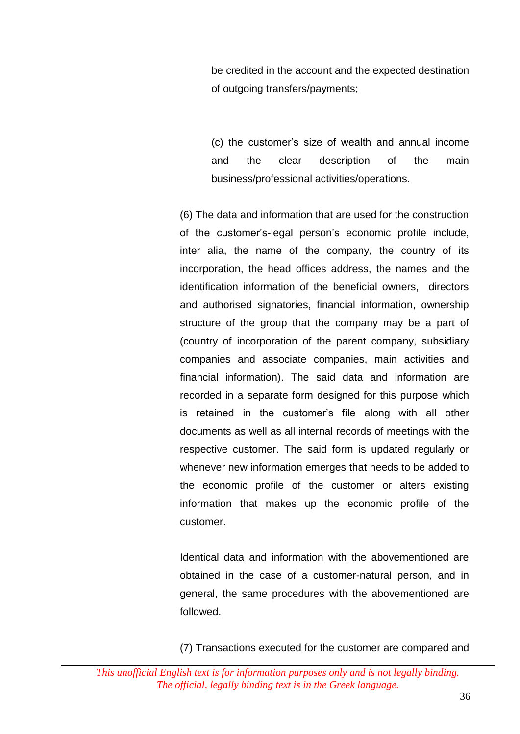be credited in the account and the expected destination of outgoing transfers/payments;

(c) the customer's size of wealth and annual income and the clear description of the main business/professional activities/operations.

(6) The data and information that are used for the construction of the customer's-legal person's economic profile include, inter alia, the name of the company, the country of its incorporation, the head offices address, the names and the identification information of the beneficial owners, directors and authorised signatories, financial information, ownership structure of the group that the company may be a part of (country of incorporation of the parent company, subsidiary companies and associate companies, main activities and financial information). The said data and information are recorded in a separate form designed for this purpose which is retained in the customer's file along with all other documents as well as all internal records of meetings with the respective customer. The said form is updated regularly or whenever new information emerges that needs to be added to the economic profile of the customer or alters existing information that makes up the economic profile of the customer.

Identical data and information with the abovementioned are obtained in the case of a customer-natural person, and in general, the same procedures with the abovementioned are followed.

(7) Transactions executed for the customer are compared and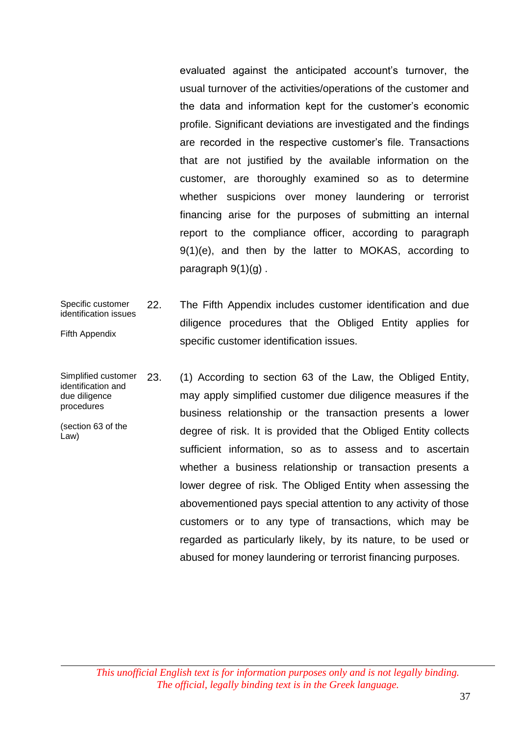evaluated against the anticipated account's turnover, the usual turnover of the activities/operations of the customer and the data and information kept for the customer's economic profile. Significant deviations are investigated and the findings are recorded in the respective customer's file. Transactions that are not justified by the available information on the customer, are thoroughly examined so as to determine whether suspicions over money laundering or terrorist financing arise for the purposes of submitting an internal report to the compliance officer, according to paragraph 9(1)(e), and then by the latter to MOKAS, according to paragraph  $9(1)(g)$ .

- Specific customer identification issues Fifth Appendix 22. The Fifth Appendix includes customer identification and due diligence procedures that the Obliged Entity applies for specific customer identification issues.
- Simplified customer identification and due diligence procedures (section 63 of the Law) 23. (1) According to section 63 of the Law, the Obliged Entity, may apply simplified customer due diligence measures if the business relationship or the transaction presents a lower degree of risk. It is provided that the Obliged Entity collects sufficient information, so as to assess and to ascertain whether a business relationship or transaction presents a lower degree of risk. The Obliged Entity when assessing the abovementioned pays special attention to any activity of those customers or to any type of transactions, which may be regarded as particularly likely, by its nature, to be used or abused for money laundering or terrorist financing purposes.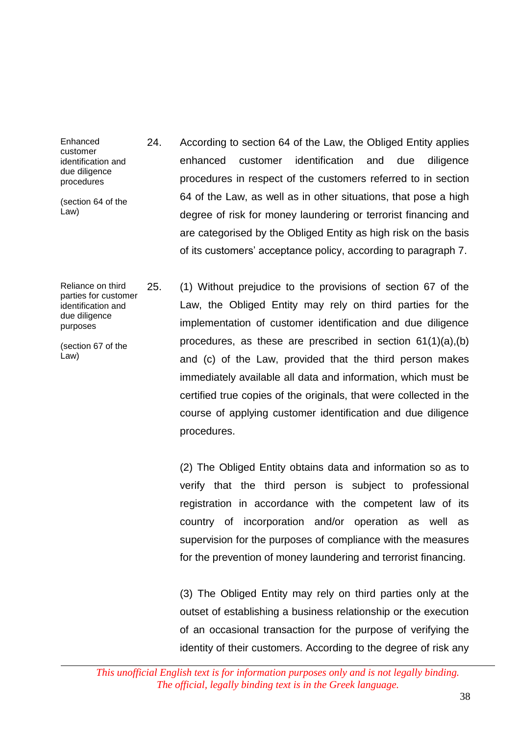Enhanced customer identification and due diligence procedures

(section 64 of the Law)

Reliance on third parties for customer identification and due diligence purposes

(section 67 of the Law)

- 24. According to section 64 of the Law, the Obliged Entity applies enhanced customer identification and due diligence procedures in respect of the customers referred to in section 64 of the Law, as well as in other situations, that pose a high degree of risk for money laundering or terrorist financing and are categorised by the Obliged Entity as high risk on the basis of its customers' acceptance policy, according to paragraph 7.
- 25. (1) Without prejudice to the provisions of section 67 of the Law, the Obliged Entity may rely on third parties for the implementation of customer identification and due diligence procedures, as these are prescribed in section 61(1)(a),(b) and (c) of the Law, provided that the third person makes immediately available all data and information, which must be certified true copies of the originals, that were collected in the course of applying customer identification and due diligence procedures.

(2) The Obliged Entity obtains data and information so as to verify that the third person is subject to professional registration in accordance with the competent law of its country of incorporation and/or operation as well as supervision for the purposes of compliance with the measures for the prevention of money laundering and terrorist financing.

(3) The Obliged Entity may rely on third parties only at the outset of establishing a business relationship or the execution of an occasional transaction for the purpose of verifying the identity of their customers. According to the degree of risk any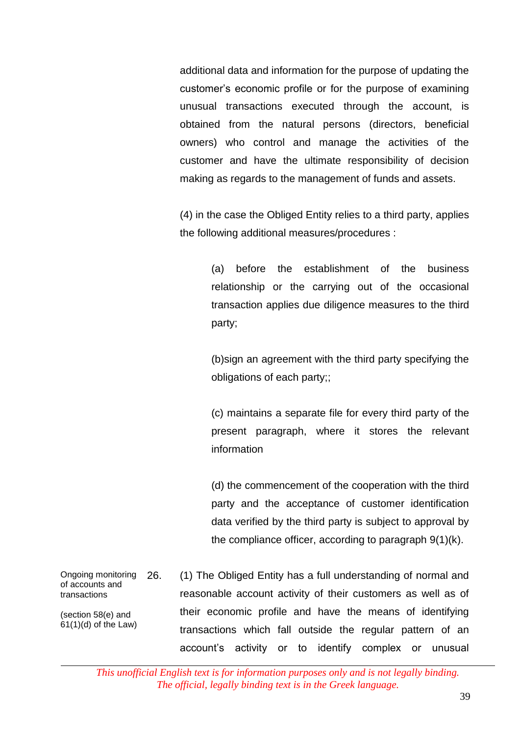additional data and information for the purpose of updating the customer's economic profile or for the purpose of examining unusual transactions executed through the account, is obtained from the natural persons (directors, beneficial owners) who control and manage the activities of the customer and have the ultimate responsibility of decision making as regards to the management of funds and assets.

 $(4)$  in the case the Obliged Entity relies to a third party, applies the following additional measures/procedures :

> (a) before the establishment of the business relationship or the carrying out of the occasional transaction applies due diligence measures to the third party;

> (b)sign an agreement with the third party specifying the obligations of each party;;

> (c) maintains a separate file for every third party of the present paragraph, where it stores the relevant information

> (d) the commencement of the cooperation with the third party and the acceptance of customer identification data verified by the third party is subject to approval by the compliance officer, according to paragraph 9(1)(k).

Ongoing monitoring of accounts and transactions (section 58(e) and 61(1)(d) of the Law) 26. (1) The Obliged Entity has a full understanding of normal and reasonable account activity of their customers as well as of their economic profile and have the means of identifying transactions which fall outside the regular pattern of an account's activity or to identify complex or unusual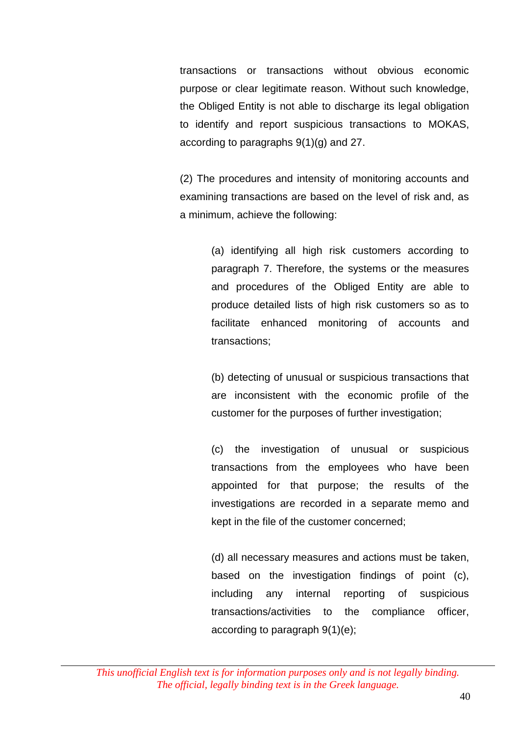transactions or transactions without obvious economic purpose or clear legitimate reason. Without such knowledge, the Obliged Entity is not able to discharge its legal obligation to identify and report suspicious transactions to MOKAS, according to paragraphs 9(1)(g) and 27.

(2) The procedures and intensity of monitoring accounts and examining transactions are based on the level of risk and, as a minimum, achieve the following:

> (a) identifying all high risk customers according to paragraph 7. Therefore, the systems or the measures and procedures of the Obliged Entity are able to produce detailed lists of high risk customers so as to facilitate enhanced monitoring of accounts and transactions;

> (b) detecting of unusual or suspicious transactions that are inconsistent with the economic profile of the customer for the purposes of further investigation;

> (c) the investigation of unusual or suspicious transactions from the employees who have been appointed for that purpose; the results of the investigations are recorded in a separate memo and kept in the file of the customer concerned;

> (d) all necessary measures and actions must be taken, based on the investigation findings of point (c), including any internal reporting of suspicious transactions/activities to the compliance officer, according to paragraph 9(1)(e);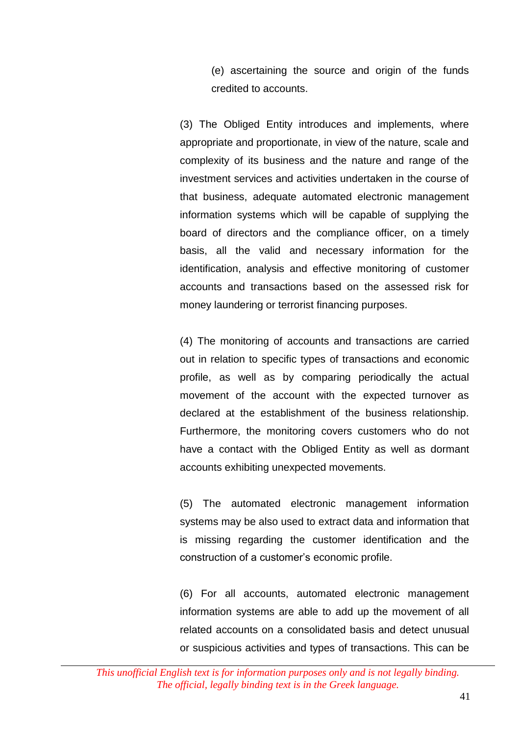(e) ascertaining the source and origin of the funds credited to accounts.

(3) The Obliged Entity introduces and implements, where appropriate and proportionate, in view of the nature, scale and complexity of its business and the nature and range of the investment services and activities undertaken in the course of that business, adequate automated electronic management information systems which will be capable of supplying the board of directors and the compliance officer, on a timely basis, all the valid and necessary information for the identification, analysis and effective monitoring of customer accounts and transactions based on the assessed risk for money laundering or terrorist financing purposes.

(4) The monitoring of accounts and transactions are carried out in relation to specific types of transactions and economic profile, as well as by comparing periodically the actual movement of the account with the expected turnover as declared at the establishment of the business relationship. Furthermore, the monitoring covers customers who do not have a contact with the Obliged Entity as well as dormant accounts exhibiting unexpected movements.

(5) The automated electronic management information systems may be also used to extract data and information that is missing regarding the customer identification and the construction of a customer's economic profile.

(6) For all accounts, automated electronic management information systems are able to add up the movement of all related accounts on a consolidated basis and detect unusual or suspicious activities and types of transactions. This can be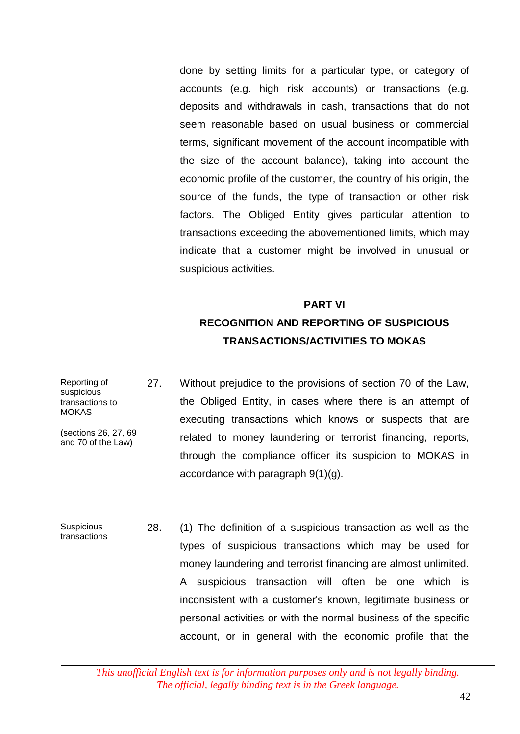done by setting limits for a particular type, or category of accounts (e.g. high risk accounts) or transactions (e.g. deposits and withdrawals in cash, transactions that do not seem reasonable based on usual business or commercial terms, significant movement of the account incompatible with the size of the account balance), taking into account the economic profile of the customer, the country of his origin, the source of the funds, the type of transaction or other risk factors. The Obliged Entity gives particular attention to transactions exceeding the abovementioned limits, which may indicate that a customer might be involved in unusual or suspicious activities.

### 19. **PART VI RECOGNITION AND REPORTING OF SUSPICIOUS TRANSACTIONS/ACTIVITIES TO MOKAS**

- Reporting of suspicious transactions to MOKAS (sections 26, 27, 69 and 70 of the Law) 27. Without prejudice to the provisions of section 70 of the Law, the Obliged Entity, in cases where there is an attempt of executing transactions which knows or suspects that are related to money laundering or terrorist financing, reports, through the compliance officer its suspicion to MOKAS in accordance with paragraph 9(1)(g).
- **Suspicious** transactions 28. (1) The definition of a suspicious transaction as well as the types of suspicious transactions which may be used for money laundering and terrorist financing are almost unlimited. A suspicious transaction will often be one which is inconsistent with a customer's known, legitimate business or personal activities or with the normal business of the specific account, or in general with the economic profile that the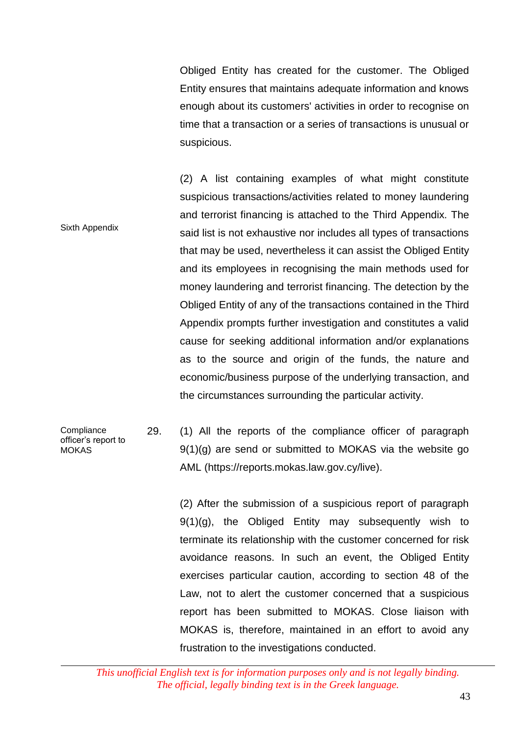Obliged Entity has created for the customer. The Obliged Entity ensures that maintains adequate information and knows enough about its customers' activities in order to recognise on time that a transaction or a series of transactions is unusual or suspicious.

Sixth Appendix (2) A list containing examples of what might constitute suspicious transactions/activities related to money laundering and terrorist financing is attached to the Third Appendix. The said list is not exhaustive nor includes all types of transactions that may be used, nevertheless it can assist the Obliged Entity and its employees in recognising the main methods used for money laundering and terrorist financing. The detection by the Obliged Entity of any of the transactions contained in the Third Appendix prompts further investigation and constitutes a valid cause for seeking additional information and/or explanations as to the source and origin of the funds, the nature and economic/business purpose of the underlying transaction, and the circumstances surrounding the particular activity.

#### **Compliance** officer's report to MOKAS 29. (1) All the reports of the compliance officer of paragraph 9(1)(g) are send or submitted to MOKAS via the website go AML (https://reports.mokas.law.gov.cy/live).

(2) After the submission of a suspicious report of paragraph  $9(1)(q)$ , the Obliged Entity may subsequently wish to terminate its relationship with the customer concerned for risk avoidance reasons. In such an event, the Obliged Entity exercises particular caution, according to section 48 of the Law, not to alert the customer concerned that a suspicious report has been submitted to MOKAS. Close liaison with MOKAS is, therefore, maintained in an effort to avoid any frustration to the investigations conducted.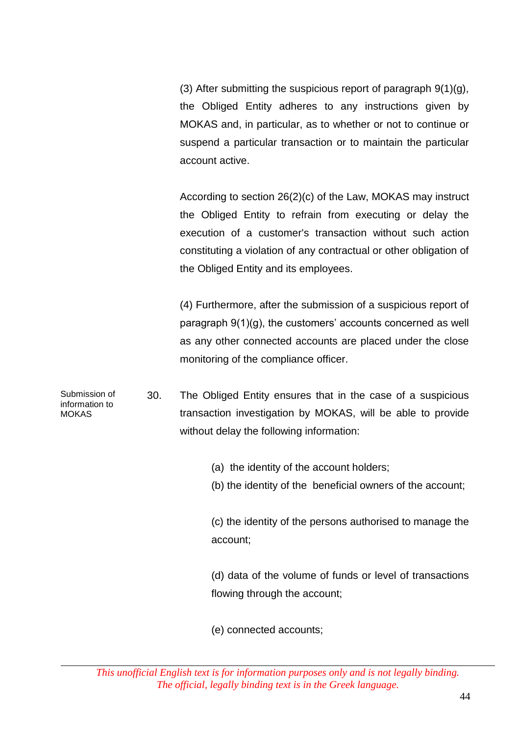(3) After submitting the suspicious report of paragraph 9(1)(g), the Obliged Entity adheres to any instructions given by MOKAS and, in particular, as to whether or not to continue or suspend a particular transaction or to maintain the particular account active.

According to section 26(2)(c) of the Law, MOKAS may instruct the Obliged Entity to refrain from executing or delay the execution of a customer's transaction without such action constituting a violation of any contractual or other obligation of the Obliged Entity and its employees.

(4) Furthermore, after the submission of a suspicious report of paragraph 9(1)(g), the customers' accounts concerned as well as any other connected accounts are placed under the close monitoring of the compliance officer.

Submission of information to MOKAS 30. The Obliged Entity ensures that in the case of a suspicious transaction investigation by MOKAS, will be able to provide without delay the following information:

- (a) the identity of the account holders;
- (b) the identity of the beneficial owners of the account;

(c) the identity of the persons authorised to manage the account;

(d) data of the volume of funds or level of transactions flowing through the account;

(e) connected accounts;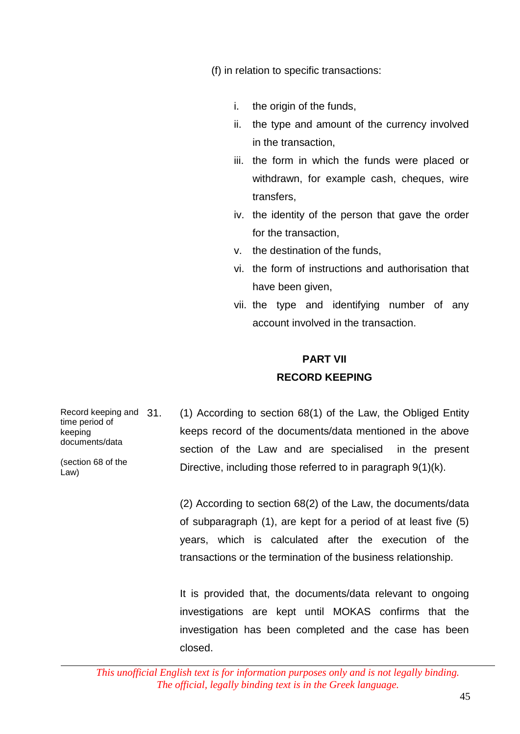(f) in relation to specific transactions:

- i. the origin of the funds,
- ii. the type and amount of the currency involved in the transaction,
- iii. the form in which the funds were placed or withdrawn, for example cash, cheques, wire transfers,
- iv. the identity of the person that gave the order for the transaction,
- v. the destination of the funds,
- vi. the form of instructions and authorisation that have been given,
- vii. the type and identifying number of any account involved in the transaction.

### **PART VII RECORD KEEPING**

Record keeping and 31. time period of keeping documents/data (section 68 of the  $(1)$  According to section 68 $(1)$  of the Law, the Obliged Entity keeps record of the documents/data mentioned in the above section of the Law and are specialised in the present Directive, including those referred to in paragraph 9(1)(k).

> (2) According to section 68(2) of the Law, the documents/data of subparagraph (1), are kept for a period of at least five (5) years, which is calculated after the execution of the transactions or the termination of the business relationship.

> It is provided that, the documents/data relevant to ongoing investigations are kept until MOKAS confirms that the investigation has been completed and the case has been closed.

Law)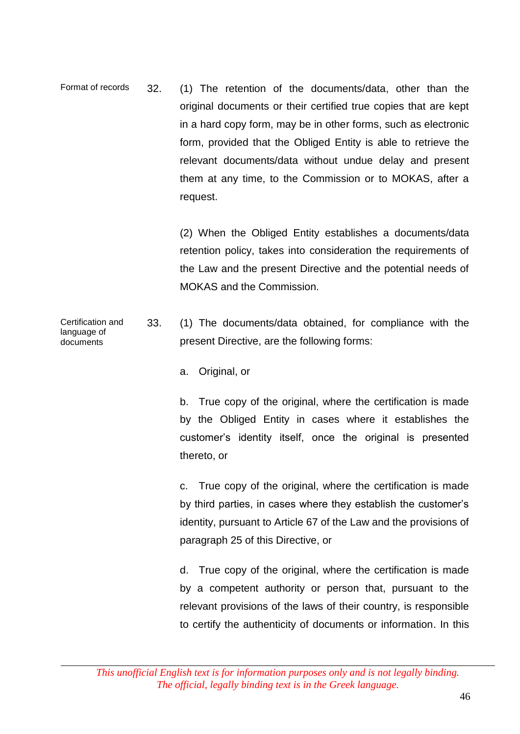Format of records 32. (1) The retention of the documents/data, other than the original documents or their certified true copies that are kept in a hard copy form, may be in other forms, such as electronic form, provided that the Obliged Entity is able to retrieve the relevant documents/data without undue delay and present them at any time, to the Commission or to MOKAS, after a request.

> (2) When the Obliged Entity establishes a documents/data retention policy, takes into consideration the requirements of the Law and the present Directive and the potential needs of MOKAS and the Commission.

- Certification and language of documents 33. (1) The documents/data obtained, for compliance with the present Directive, are the following forms:
	- a. Original, or

b. True copy of the original, where the certification is made by the Obliged Entity in cases where it establishes the customer's identity itself, once the original is presented thereto, or

c. True copy of the original, where the certification is made by third parties, in cases where they establish the customer's identity, pursuant to Article 67 of the Law and the provisions of paragraph 25 of this Directive, or

d. True copy of the original, where the certification is made by a competent authority or person that, pursuant to the relevant provisions of the laws of their country, is responsible to certify the authenticity of documents or information. In this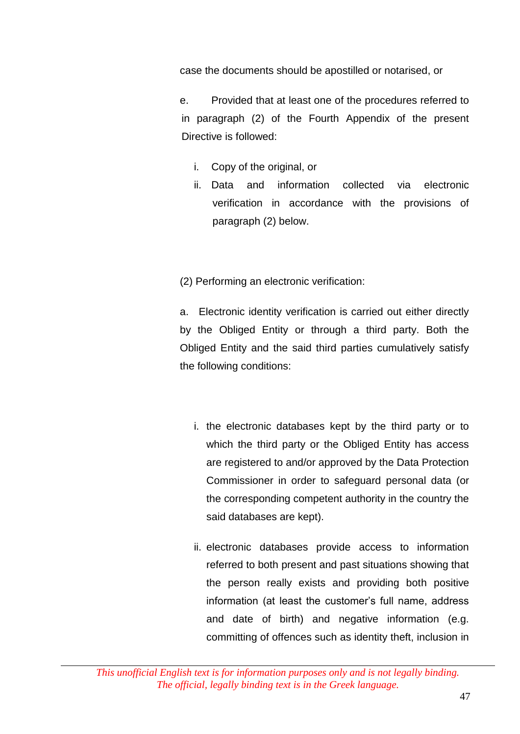case the documents should be apostilled or notarised, or

e. Provided that at least one of the procedures referred to in paragraph (2) of the Fourth Appendix of the present Directive is followed:

- i. Copy of the original, or
- ii. Data and information collected via electronic verification in accordance with the provisions of paragraph (2) below.

(2) Performing an electronic verification:

a. Electronic identity verification is carried out either directly by the Obliged Entity or through a third party. Both the Obliged Entity and the said third parties cumulatively satisfy the following conditions:

- i. the electronic databases kept by the third party or to which the third party or the Obliged Entity has access are registered to and/or approved by the Data Protection Commissioner in order to safeguard personal data (or the corresponding competent authority in the country the said databases are kept).
- ii. electronic databases provide access to information referred to both present and past situations showing that the person really exists and providing both positive information (at least the customer's full name, address and date of birth) and negative information (e.g. committing of offences such as identity theft, inclusion in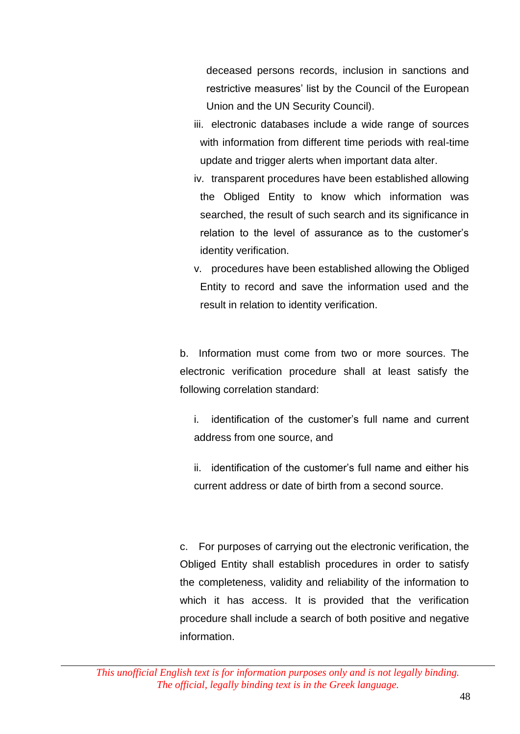deceased persons records, inclusion in sanctions and restrictive measures' list by the Council of the European Union and the UN Security Council).

- iii. electronic databases include a wide range of sources with information from different time periods with real-time update and trigger alerts when important data alter.
- iv. transparent procedures have been established allowing the Obliged Entity to know which information was searched, the result of such search and its significance in relation to the level of assurance as to the customer's identity verification.
- v. procedures have been established allowing the Obliged Entity to record and save the information used and the result in relation to identity verification.

b. Information must come from two or more sources. The electronic verification procedure shall at least satisfy the following correlation standard:

i. identification of the customer's full name and current address from one source, and

ii. identification of the customer's full name and either his current address or date of birth from a second source.

c. For purposes of carrying out the electronic verification, the Obliged Entity shall establish procedures in order to satisfy the completeness, validity and reliability of the information to which it has access. It is provided that the verification procedure shall include a search of both positive and negative information.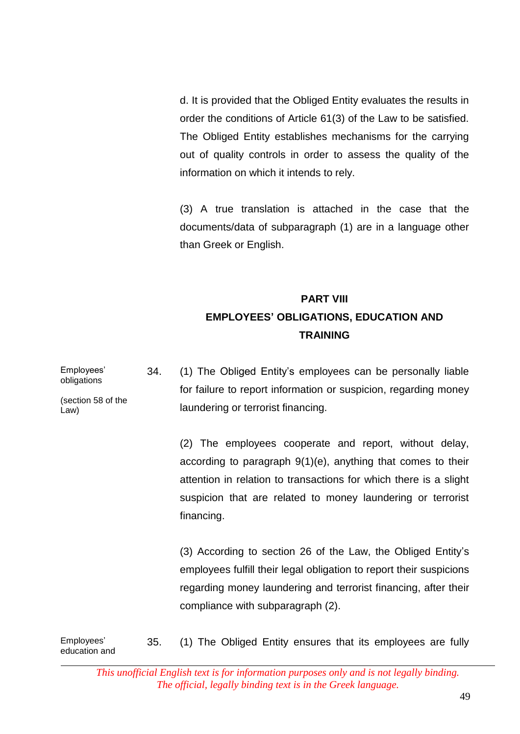d. It is provided that the Obliged Entity evaluates the results in order the conditions of Article 61(3) of the Law to be satisfied. The Obliged Entity establishes mechanisms for the carrying out of quality controls in order to assess the quality of the information on which it intends to rely.

 $(3)$  A true translation is attached in the case that the documents/data of subparagraph (1) are in a language other than Greek or English.

# **PART VIII EMPLOYEES' OBLIGATIONS, EDUCATION AND TRAINING**

Employees' obligations (section 58 of the Law) 34. (1) The Obliged Entity's employees can be personally liable for failure to report information or suspicion, regarding money laundering or terrorist financing. (2) The employees cooperate and report, without delay, according to paragraph 9(1)(e), anything that comes to their attention in relation to transactions for which there is a slight suspicion that are related to money laundering or terrorist financing.

> (3) According to section 26 of the Law, the Obliged Entity's employees fulfill their legal obligation to report their suspicions regarding money laundering and terrorist financing, after their compliance with subparagraph (2).

Employees' education and 35. (1) The Obliged Entity ensures that its employees are fully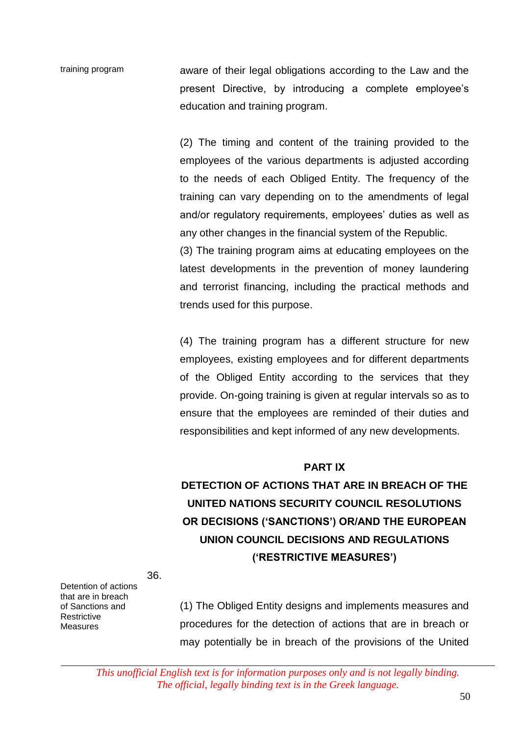training program aware of their legal obligations according to the Law and the present Directive, by introducing a complete employee's education and training program.

> $(2)$  The timing and content of the training provided to the employees of the various departments is adjusted according to the needs of each Obliged Entity. The frequency of the training can vary depending on to the amendments of legal and/or regulatory requirements, employees' duties as well as any other changes in the financial system of the Republic.

> (3) The training program aims at educating employees on the latest developments in the prevention of money laundering and terrorist financing, including the practical methods and trends used for this purpose.

> (4) The training program has a different structure for new employees, existing employees and for different departments of the Obliged Entity according to the services that they provide. On-going training is given at regular intervals so as to ensure that the employees are reminded of their duties and responsibilities and kept informed of any new developments.

#### **PART ΙΧ**

# **DETECTION OF ACTIONS THAT ARE IN BREACH OF THE UNITED NATIONS SECURITY COUNCIL RESOLUTIONS OR DECISIONS ('SANCTIONS') OR/AND THE EUROPEAN UNION COUNCIL DECISIONS AND REGULATIONS ('RESTRICTIVE MEASURES')**

36.

Detention of actions that are in breach of Sanctions and **Restrictive** Measures

(1) The Obliged Entity designs and implements measures and procedures for the detection of actions that are in breach or may potentially be in breach of the provisions of the United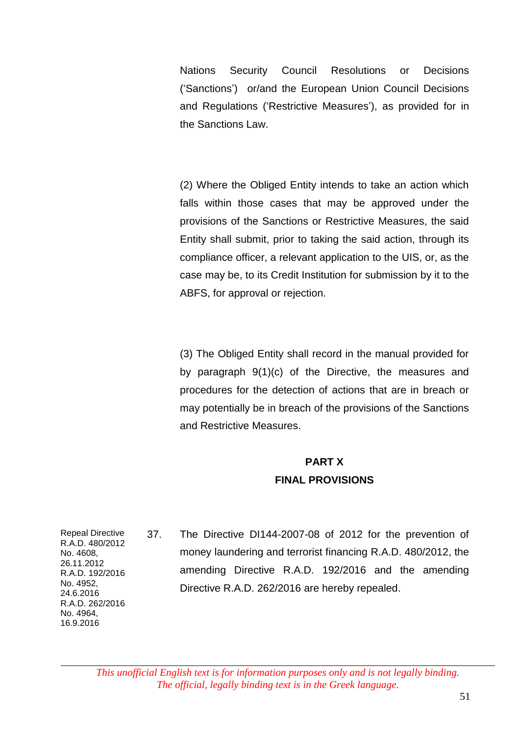Nations Security Council Resolutions or Decisions ('Sanctions') or/and the European Union Council Decisions and Regulations ('Restrictive Measures'), as provided for in the Sanctions Law.

(2) Where the Obliged Entity intends to take an action which falls within those cases that may be approved under the provisions of the Sanctions or Restrictive Measures, the said Entity shall submit, prior to taking the said action, through its compliance officer, a relevant application to the UIS, or, as the case may be, to its Credit Institution for submission by it to the ABFS, for approval or rejection.

(3) The Obliged Entity shall record in the manual provided for by paragraph 9(1)(c) of the Directive, the measures and procedures for the detection of actions that are in breach or may potentially be in breach of the provisions of the Sanctions and Restrictive Measures.

### **PART X FINAL PROVISIONS**

Repeal Directive R.A.D. 480/2012 No. 4608, 26.11.2012 R.A.D. 192/2016 No. 4952, 24.6.2016 R.A.D. 262/2016 No. 4964, 16.9.2016

37. The Directive DI144-2007-08 of 2012 for the prevention of money laundering and terrorist financing R.A.D. 480/2012, the amending Directive R.A.D. 192/2016 and the amending Directive R.A.D. 262/2016 are hereby repealed.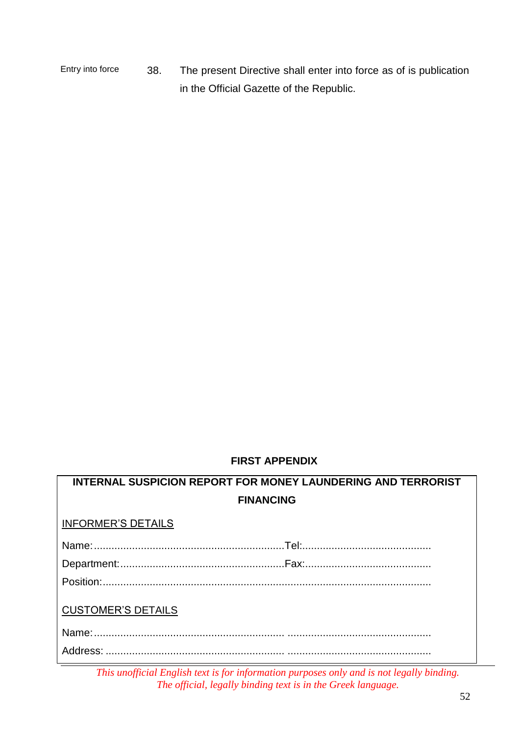Entry into force 38. The present Directive shall enter into force as of is publication in the Official Gazette of the Republic.

#### **FIRST APPENDIX**

| <b>INTERNAL SUSPICION REPORT FOR MONEY LAUNDERING AND TERRORIST</b> |  |  |
|---------------------------------------------------------------------|--|--|
| <b>FINANCING</b>                                                    |  |  |
| <b>INFORMER'S DETAILS</b>                                           |  |  |
|                                                                     |  |  |
|                                                                     |  |  |
|                                                                     |  |  |
| <b>CUSTOMER'S DETAILS</b>                                           |  |  |
|                                                                     |  |  |
|                                                                     |  |  |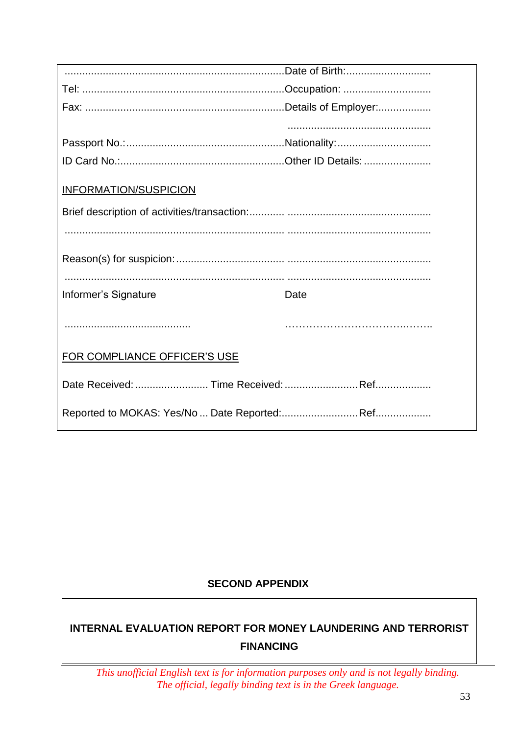| <b>INFORMATION/SUSPICION</b> |      |
|------------------------------|------|
|                              |      |
|                              |      |
|                              |      |
| Informer's Signature         | Date |
|                              |      |
| FOR COMPLIANCE OFFICER'S USE |      |
|                              |      |
|                              |      |

#### **SECOND APPENDIX**

### **INTERNAL EVALUATION REPORT FOR MONEY LAUNDERING AND TERRORIST FINANCING**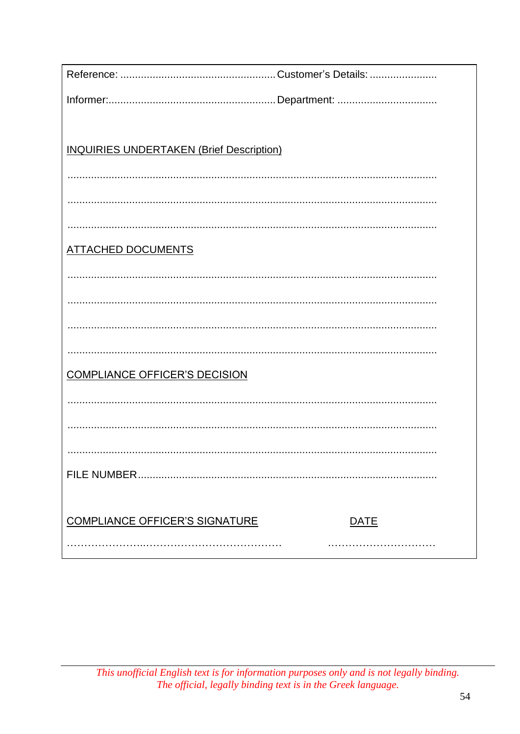| <b>INQUIRIES UNDERTAKEN (Brief Description)</b>      |  |  |
|------------------------------------------------------|--|--|
|                                                      |  |  |
|                                                      |  |  |
|                                                      |  |  |
| <b>ATTACHED DOCUMENTS</b>                            |  |  |
|                                                      |  |  |
|                                                      |  |  |
|                                                      |  |  |
|                                                      |  |  |
| <b>COMPLIANCE OFFICER'S DECISION</b>                 |  |  |
|                                                      |  |  |
|                                                      |  |  |
|                                                      |  |  |
|                                                      |  |  |
|                                                      |  |  |
| <b>COMPLIANCE OFFICER'S SIGNATURE</b><br><b>DATE</b> |  |  |
|                                                      |  |  |
|                                                      |  |  |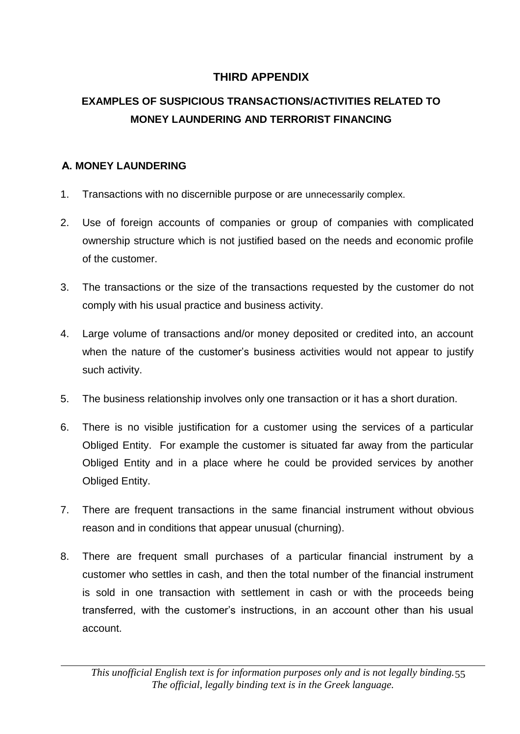### **THIRD APPENDIX**

# **EXAMPLES OF SUSPICIOUS TRANSACTIONS/ACTIVITIES RELATED TO MONEY LAUNDERING AND TERRORIST FINANCING**

#### **Α. MONEY LAUNDERING**

- 1. Transactions with no discernible purpose or are unnecessarily complex.
- 2. Use of foreign accounts of companies or group of companies with complicated ownership structure which is not justified based on the needs and economic profile of the customer.
- 3. The transactions or the size of the transactions requested by the customer do not comply with his usual practice and business activity.
- 4. Large volume of transactions and/or money deposited or credited into, an account when the nature of the customer's business activities would not appear to justify such activity.
- 5. The business relationship involves only one transaction or it has a short duration.
- 6. There is no visible justification for a customer using the services of a particular Obliged Entity. For example the customer is situated far away from the particular Obliged Entity and in a place where he could be provided services by another Obliged Entity.
- 7. There are frequent transactions in the same financial instrument without obvious reason and in conditions that appear unusual (churning).
- 8. There are frequent small purchases of a particular financial instrument by a customer who settles in cash, and then the total number of the financial instrument is sold in one transaction with settlement in cash or with the proceeds being transferred, with the customer's instructions, in an account other than his usual account.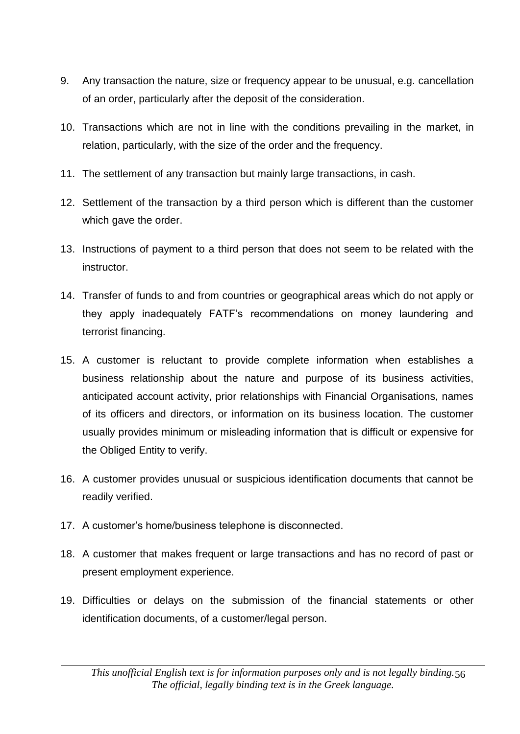- 9. Any transaction the nature, size or frequency appear to be unusual, e.g. cancellation of an order, particularly after the deposit of the consideration.
- 10. Transactions which are not in line with the conditions prevailing in the market, in relation, particularly, with the size of the order and the frequency.
- 11. The settlement of any transaction but mainly large transactions, in cash.
- 12. Settlement of the transaction by a third person which is different than the customer which gave the order.
- 13. Instructions of payment to a third person that does not seem to be related with the instructor.
- 14. Transfer of funds to and from countries or geographical areas which do not apply or they apply inadequately FATF's recommendations on money laundering and terrorist financing.
- 15. A customer is reluctant to provide complete information when establishes a business relationship about the nature and purpose of its business activities, anticipated account activity, prior relationships with Financial Organisations, names of its officers and directors, or information on its business location. The customer usually provides minimum or misleading information that is difficult or expensive for the Obliged Entity to verify.
- 16. A customer provides unusual or suspicious identification documents that cannot be readily verified.
- 17. A customer's home/business telephone is disconnected.
- 18. A customer that makes frequent or large transactions and has no record of past or present employment experience.
- 19. Difficulties or delays on the submission of the financial statements or other identification documents, of a customer/legal person.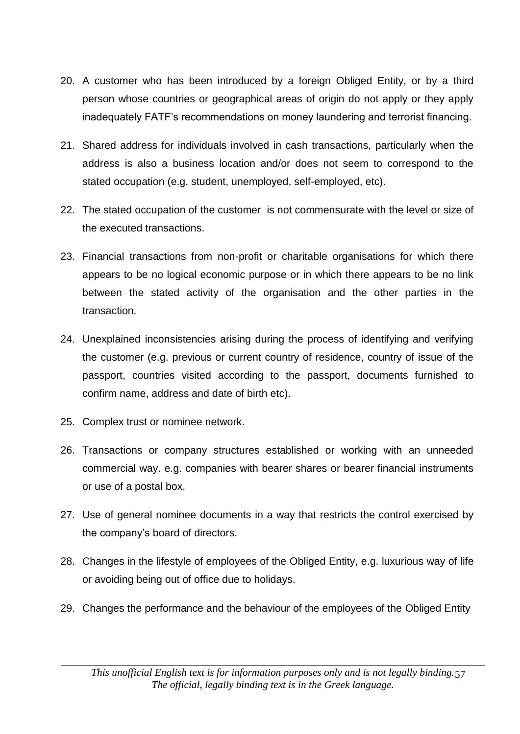- 20. A customer who has been introduced by a foreign Obliged Entity, or by a third person whose countries or geographical areas of origin do not apply or they apply inadequately FATF's recommendations on money laundering and terrorist financing.
- 21. Shared address for individuals involved in cash transactions, particularly when the address is also a business location and/or does not seem to correspond to the stated occupation (e.g. student, unemployed, self-employed, etc).
- 22. The stated occupation of the customer is not commensurate with the level or size of the executed transactions.
- 23. Financial transactions from non-profit or charitable organisations for which there appears to be no logical economic purpose or in which there appears to be no link between the stated activity of the organisation and the other parties in the transaction.
- 24. Unexplained inconsistencies arising during the process of identifying and verifying the customer (e.g. previous or current country of residence, country of issue of the passport, countries visited according to the passport, documents furnished to confirm name, address and date of birth etc).
- 25. Complex trust or nominee network.
- 26. Transactions or company structures established or working with an unneeded commercial way. e.g. companies with bearer shares or bearer financial instruments or use of a postal box.
- 27. Use of general nominee documents in a way that restricts the control exercised by the company's board of directors.
- 28. Changes in the lifestyle of employees of the Obliged Entity, e.g. luxurious way of life or avoiding being out of office due to holidays.
- 29. Changes the performance and the behaviour of the employees of the Obliged Entity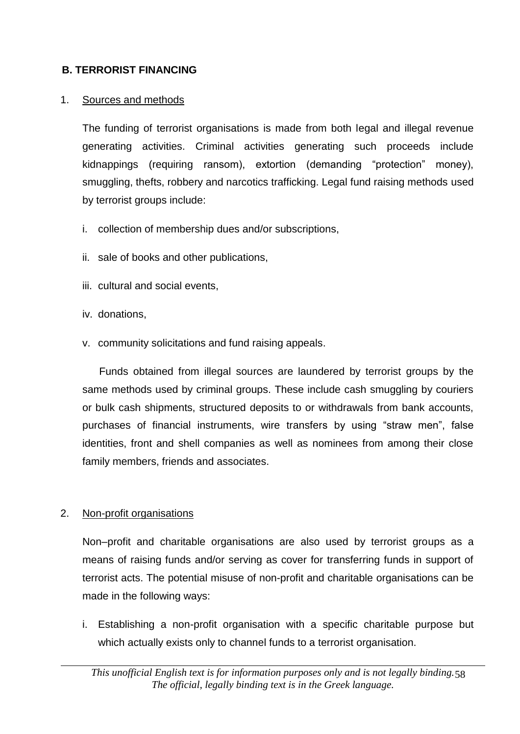#### **B. TERRORIST FINANCING**

#### 1. Sources and methods

The funding of terrorist organisations is made from both legal and illegal revenue generating activities. Criminal activities generating such proceeds include kidnappings (requiring ransom), extortion (demanding "protection" money), smuggling, thefts, robbery and narcotics trafficking. Legal fund raising methods used by terrorist groups include:

- i. collection of membership dues and/or subscriptions,
- ii. sale of books and other publications,
- iii. cultural and social events,
- iv. donations,
- v. community solicitations and fund raising appeals.

Funds obtained from illegal sources are laundered by terrorist groups by the same methods used by criminal groups. These include cash smuggling by couriers or bulk cash shipments, structured deposits to or withdrawals from bank accounts, purchases of financial instruments, wire transfers by using "straw men", false identities, front and shell companies as well as nominees from among their close family members, friends and associates.

#### 2. Non-profit organisations

Non–profit and charitable organisations are also used by terrorist groups as a means of raising funds and/or serving as cover for transferring funds in support of terrorist acts. The potential misuse of non-profit and charitable organisations can be made in the following ways:

i. Establishing a non-profit organisation with a specific charitable purpose but which actually exists only to channel funds to a terrorist organisation.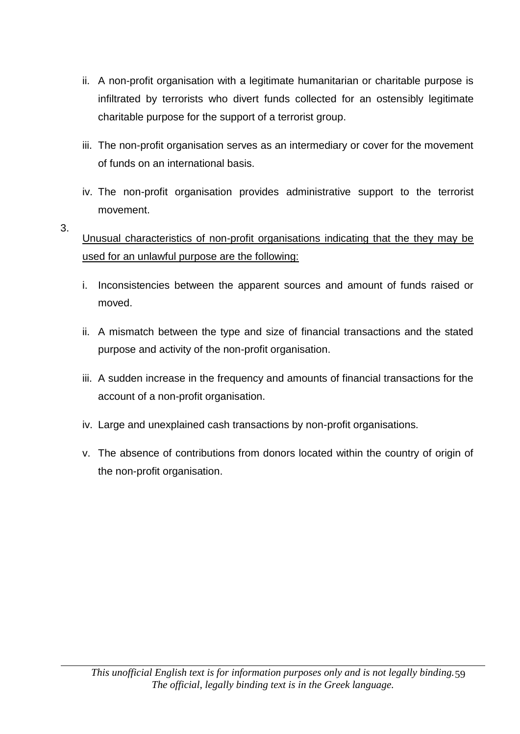- ii. A non-profit organisation with a legitimate humanitarian or charitable purpose is infiltrated by terrorists who divert funds collected for an ostensibly legitimate charitable purpose for the support of a terrorist group.
- iii. The non-profit organisation serves as an intermediary or cover for the movement of funds on an international basis.
- iv. The non-profit organisation provides administrative support to the terrorist movement.

#### 3. Unusual characteristics of non-profit organisations indicating that the they may be used for an unlawful purpose are the following:

- i. Inconsistencies between the apparent sources and amount of funds raised or moved.
- ii. A mismatch between the type and size of financial transactions and the stated purpose and activity of the non-profit organisation.
- iii. A sudden increase in the frequency and amounts of financial transactions for the account of a non-profit organisation.
- iv. Large and unexplained cash transactions by non-profit organisations.
- v. The absence of contributions from donors located within the country of origin of the non-profit organisation.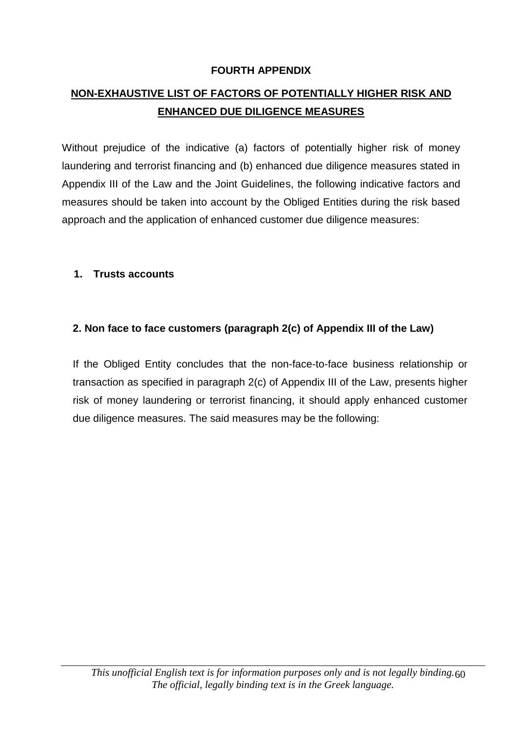#### **FOURTH APPENDIX**

### **NON-EXHAUSTIVE LIST OF FACTORS OF POTENTIALLY HIGHER RISK AND ENHANCED DUE DILIGENCE MEASURES**

Without prejudice of the indicative (a) factors of potentially higher risk of money laundering and terrorist financing and (b) enhanced due diligence measures stated in Appendix III of the Law and the Joint Guidelines, the following indicative factors and measures should be taken into account by the Obliged Entities during the risk based approach and the application of enhanced customer due diligence measures:

#### **1. Trusts accounts**

#### **2. Non face to face customers (paragraph 2(c) of Appendix III of the Law)**

If the Obliged Entity concludes that the non-face-to-face business relationship or transaction as specified in paragraph 2(c) of Appendix III of the Law, presents higher risk of money laundering or terrorist financing, it should apply enhanced customer due diligence measures. The said measures may be the following: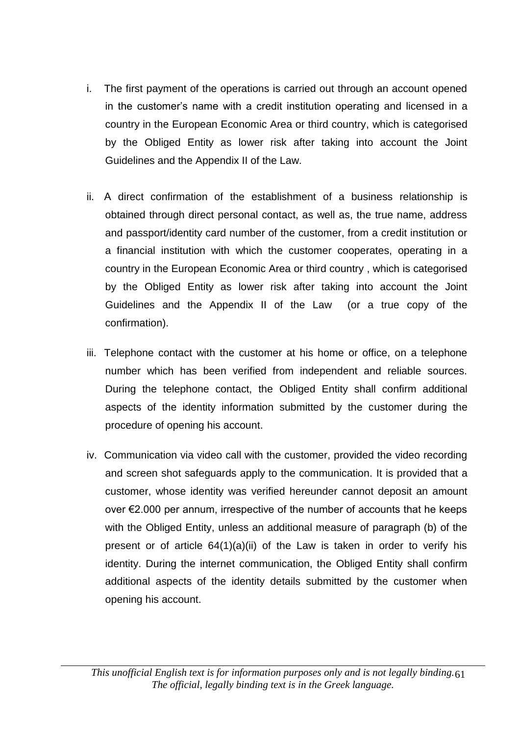- i. The first payment of the operations is carried out through an account opened in the customer's name with a credit institution operating and licensed in a country in the European Economic Area or third country, which is categorised by the Obliged Entity as lower risk after taking into account the Joint Guidelines and the Appendix II of the Law.
- ii. Α direct confirmation of the establishment of a business relationship is obtained through direct personal contact, as well as, the true name, address and passport/identity card number of the customer, from a credit institution or a financial institution with which the customer cooperates, operating in a country in the European Economic Area or third country , which is categorised by the Obliged Entity as lower risk after taking into account the Joint Guidelines and the Appendix II of the Law (or a true copy of the confirmation).
- iii. Telephone contact with the customer at his home or office, on a telephone number which has been verified from independent and reliable sources. During the telephone contact, the Obliged Entity shall confirm additional aspects of the identity information submitted by the customer during the procedure of opening his account.
- iv. Communication via video call with the customer, provided the video recording and screen shot safeguards apply to the communication. It is provided that a customer, whose identity was verified hereunder cannot deposit an amount over €2.000 per annum, irrespective of the number of accounts that he keeps with the Obliged Entity, unless an additional measure of paragraph (b) of the present or of article 64(1)(a)(ii) of the Law is taken in order to verify his identity. During the internet communication, the Obliged Entity shall confirm additional aspects of the identity details submitted by the customer when opening his account.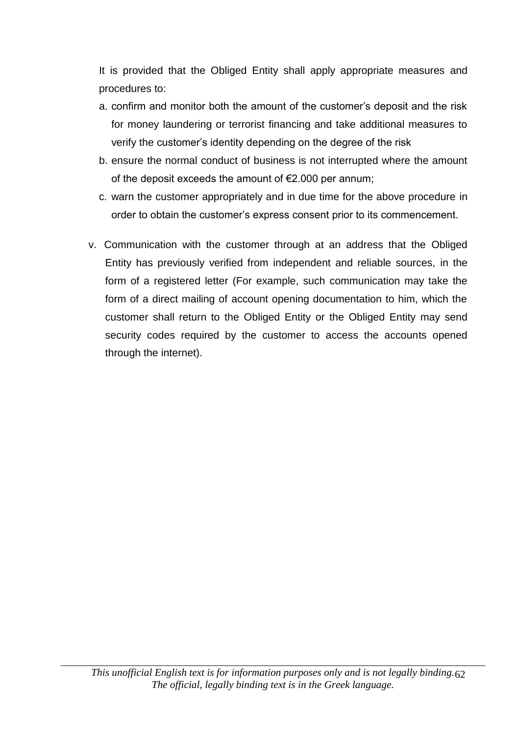It is provided that the Obliged Entity shall apply appropriate measures and procedures to:

- a. confirm and monitor both the amount of the customer's deposit and the risk for money laundering or terrorist financing and take additional measures to verify the customer's identity depending on the degree of the risk
- b. ensure the normal conduct of business is not interrupted where the amount of the deposit exceeds the amount of €2.000 per annum;
- c. warn the customer appropriately and in due time for the above procedure in order to obtain the customer's express consent prior to its commencement.
- v. Communication with the customer through at an address that the Obliged Entity has previously verified from independent and reliable sources, in the form of a registered letter (For example, such communication may take the form of a direct mailing of account opening documentation to him, which the customer shall return to the Obliged Entity or the Obliged Entity may send security codes required by the customer to access the accounts opened through the internet).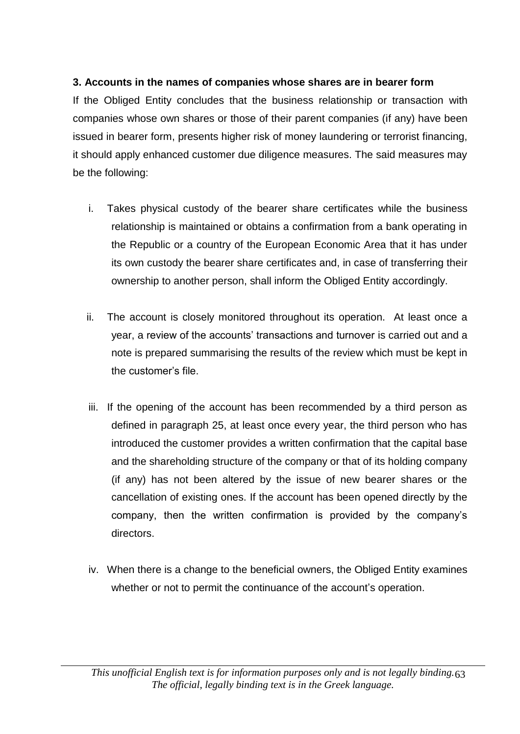### **3. Accounts in the names of companies whose shares are in bearer form**

If the Obliged Entity concludes that the business relationship or transaction with companies whose own shares or those of their parent companies (if any) have been issued in bearer form, presents higher risk of money laundering or terrorist financing, it should apply enhanced customer due diligence measures. The said measures may be the following:

- i. Takes physical custody of the bearer share certificates while the business relationship is maintained or obtains a confirmation from a bank operating in the Republic or a country of the European Economic Area that it has under its own custody the bearer share certificates and, in case of transferring their ownership to another person, shall inform the Obliged Entity accordingly.
- ii. The account is closely monitored throughout its operation. At least once a year, a review of the accounts' transactions and turnover is carried out and a note is prepared summarising the results of the review which must be kept in the customer's file.
- iii. If the opening of the account has been recommended by a third person as defined in paragraph 25, at least once every year, the third person who has introduced the customer provides a written confirmation that the capital base and the shareholding structure of the company or that of its holding company (if any) has not been altered by the issue of new bearer shares or the cancellation of existing ones. If the account has been opened directly by the company, then the written confirmation is provided by the company's directors.
- iv. When there is a change to the beneficial owners, the Obliged Entity examines whether or not to permit the continuance of the account's operation.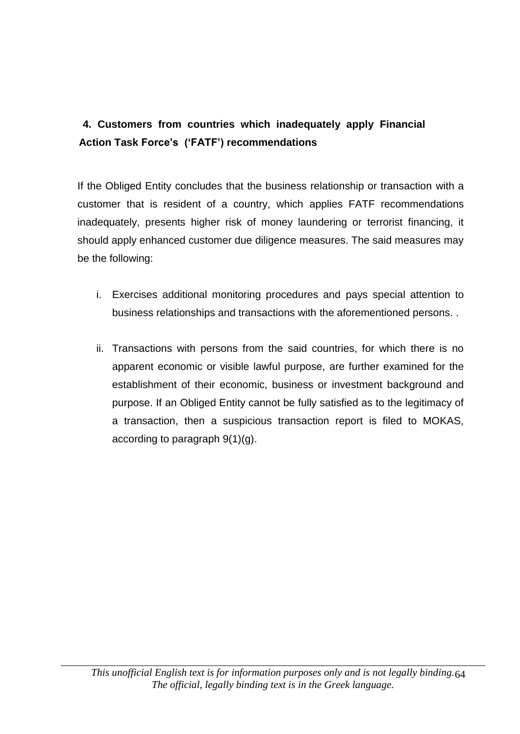### **Fro7 4. Customers from countries which inadequately apply Financial Action Task Force's ('FATF') recommendations**

If the Obliged Entity concludes that the business relationship or transaction with a customer that is resident of a country, which applies FATF recommendations inadequately, presents higher risk of money laundering or terrorist financing, it should apply enhanced customer due diligence measures. The said measures may be the following:

- i. Exercises additional monitoring procedures and pays special attention to business relationships and transactions with the aforementioned persons. .
- ii. Transactions with persons from the said countries, for which there is no apparent economic or visible lawful purpose, are further examined for the establishment of their economic, business or investment background and purpose. If an Obliged Entity cannot be fully satisfied as to the legitimacy of a transaction, then a suspicious transaction report is filed to MOKAS, according to paragraph 9(1)(g).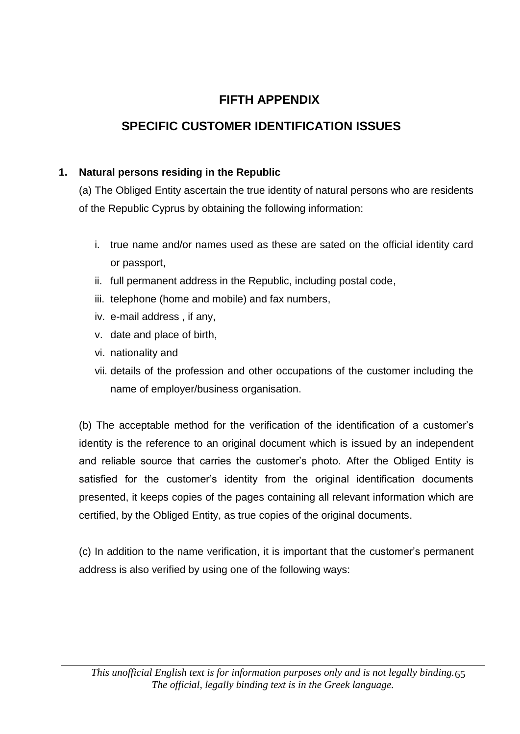# **FIFTH APPENDIX**

### **SPECIFIC CUSTOMER IDENTIFICATION ISSUES**

#### **1. Natural persons residing in the Republic**

(a) The Obliged Entity ascertain the true identity of natural persons who are residents of the Republic Cyprus by obtaining the following information:

- i. true name and/or names used as these are sated on the official identity card or passport,
- ii. full permanent address in the Republic, including postal code,
- iii. telephone (home and mobile) and fax numbers,
- iv. e-mail address , if any,
- v. date and place of birth,
- vi. nationality and
- vii. details of the profession and other occupations of the customer including the name of employer/business organisation.

(b) The acceptable method for the verification of the identification of a customer's identity is the reference to an original document which is issued by an independent and reliable source that carries the customer's photo. After the Obliged Entity is satisfied for the customer's identity from the original identification documents presented, it keeps copies of the pages containing all relevant information which are certified, by the Obliged Entity, as true copies of the original documents.

(c) In addition to the name verification, it is important that the customer's permanent address is also verified by using one of the following ways: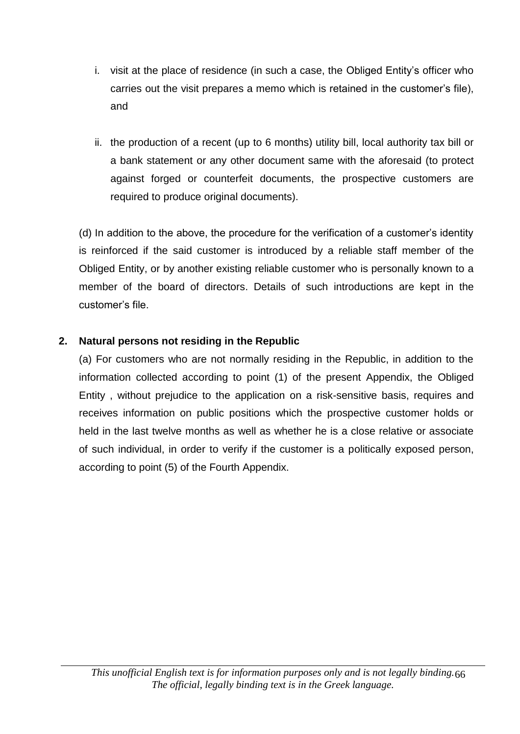- i. visit at the place of residence (in such a case, the Obliged Entity's officer who carries out the visit prepares a memo which is retained in the customer's file), and
- ii. the production of a recent (up to 6 months) utility bill, local authority tax bill or a bank statement or any other document same with the aforesaid (to protect against forged or counterfeit documents, the prospective customers are required to produce original documents).

(d) In addition to the above, the procedure for the verification of a customer's identity is reinforced if the said customer is introduced by a reliable staff member of the Obliged Entity, or by another existing reliable customer who is personally known to a member of the board of directors. Details of such introductions are kept in the customer's file.

#### **2. Natural persons not residing in the Republic**

(a) For customers who are not normally residing in the Republic, in addition to the information collected according to point (1) of the present Appendix, the Obliged Entity , without prejudice to the application on a risk-sensitive basis, requires and receives information on public positions which the prospective customer holds or held in the last twelve months as well as whether he is a close relative or associate of such individual, in order to verify if the customer is a politically exposed person, according to point (5) of the Fourth Appendix.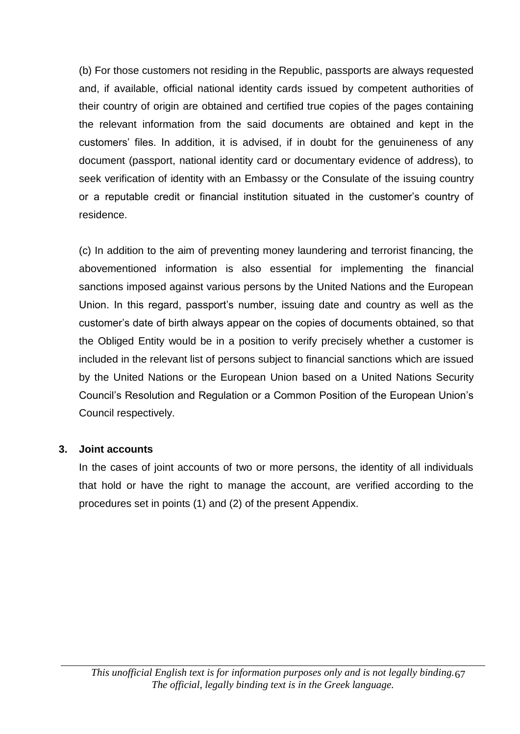(b) For those customers not residing in the Republic, passports are always requested and, if available, official national identity cards issued by competent authorities of their country of origin are obtained and certified true copies of the pages containing the relevant information from the said documents are obtained and kept in the customers' files. In addition, it is advised, if in doubt for the genuineness of any document (passport, national identity card or documentary evidence of address), to seek verification of identity with an Embassy or the Consulate of the issuing country or a reputable credit or financial institution situated in the customer's country of residence.

(c) In addition to the aim of preventing money laundering and terrorist financing, the abovementioned information is also essential for implementing the financial sanctions imposed against various persons by the United Nations and the European Union. In this regard, passport's number, issuing date and country as well as the customer's date of birth always appear on the copies of documents obtained, so that the Obliged Entity would be in a position to verify precisely whether a customer is included in the relevant list of persons subject to financial sanctions which are issued by the United Nations or the European Union based on a United Nations Security Council's Resolution and Regulation or a Common Position of the European Union's Council respectively.

#### **3. Joint accounts**

In the cases of joint accounts of two or more persons, the identity of all individuals that hold or have the right to manage the account, are verified according to the procedures set in points (1) and (2) of the present Appendix.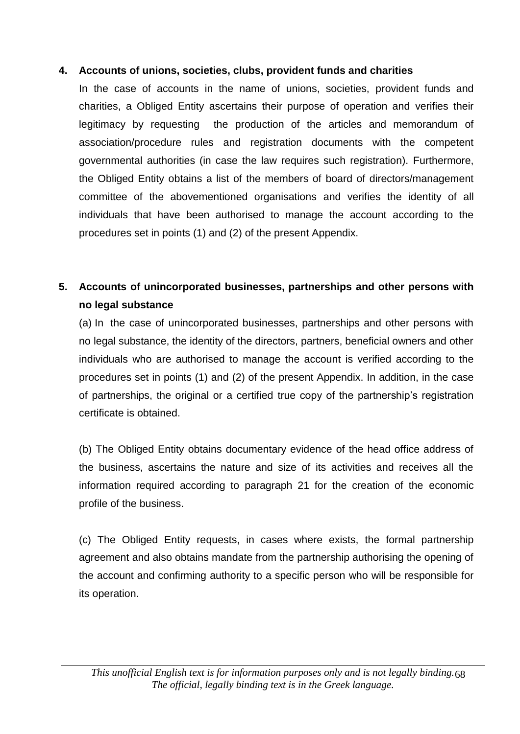#### **4. Accounts of unions, societies, clubs, provident funds and charities**

In the case of accounts in the name of unions, societies, provident funds and charities, a Obliged Entity ascertains their purpose of operation and verifies their legitimacy by requesting the production of the articles and memorandum of association/procedure rules and registration documents with the competent governmental authorities (in case the law requires such registration). Furthermore, the Obliged Entity obtains a list of the members of board of directors/management committee of the abovementioned organisations and verifies the identity of all individuals that have been authorised to manage the account according to the procedures set in points (1) and (2) of the present Appendix.

### **5. Accounts of unincorporated businesses, partnerships and other persons with no legal substance**

(a) In the case of unincorporated businesses, partnerships and other persons with no legal substance, the identity of the directors, partners, beneficial owners and other individuals who are authorised to manage the account is verified according to the procedures set in points (1) and (2) of the present Appendix. In addition, in the case of partnerships, the original or a certified true copy of the partnership's registration certificate is obtained.

(b) The Obliged Entity obtains documentary evidence of the head office address of the business, ascertains the nature and size of its activities and receives all the information required according to paragraph 21 for the creation of the economic profile of the business.

(c) The Obliged Entity requests, in cases where exists, the formal partnership agreement and also obtains mandate from the partnership authorising the opening of the account and confirming authority to a specific person who will be responsible for its operation.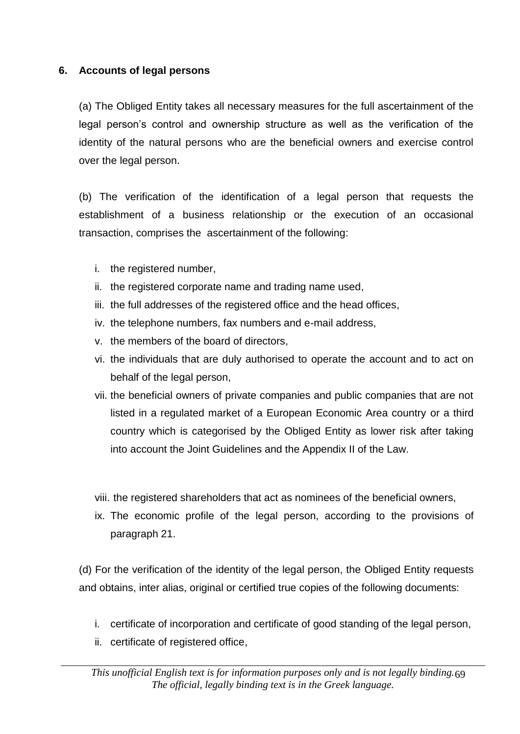#### **6. Accounts of legal persons**

(a) The Obliged Entity takes all necessary measures for the full ascertainment of the legal person's control and ownership structure as well as the verification of the identity of the natural persons who are the beneficial owners and exercise control over the legal person.

(b) The verification of the identification of a legal person that requests the establishment of a business relationship or the execution of an occasional transaction, comprises the ascertainment of the following:

- i. the registered number,
- ii. the registered corporate name and trading name used,
- iii. the full addresses of the registered office and the head offices,
- iv. the telephone numbers, fax numbers and e-mail address,
- v. the members of the board of directors,
- vi. the individuals that are duly authorised to operate the account and to act on behalf of the legal person,
- vii. the beneficial owners of private companies and public companies that are not listed in a regulated market of a European Economic Area country or a third country which is categorised by the Obliged Entity as lower risk after taking into account the Joint Guidelines and the Appendix II of the Law.

viii. the registered shareholders that act as nominees of the beneficial owners,

ix. The economic profile of the legal person, according to the provisions of paragraph 21.

(d) For the verification of the identity of the legal person, the Obliged Entity requests and obtains, inter alias, original or certified true copies of the following documents:

- i. certificate of incorporation and certificate of good standing of the legal person,
- ii. certificate of registered office,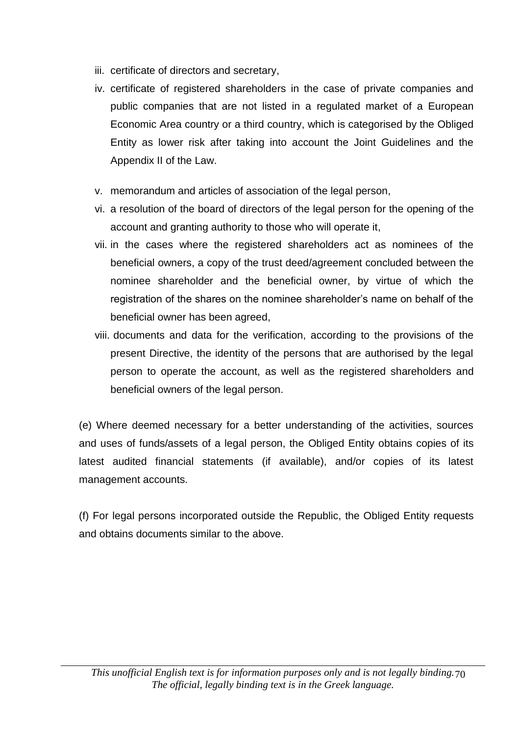- iii. certificate of directors and secretary,
- iv. certificate of registered shareholders in the case of private companies and public companies that are not listed in a regulated market of a European Economic Area country or a third country, which is categorised by the Obliged Entity as lower risk after taking into account the Joint Guidelines and the Appendix II of the Law.
- v. memorandum and articles of association of the legal person,
- vi. a resolution of the board of directors of the legal person for the opening of the account and granting authority to those who will operate it,
- vii. in the cases where the registered shareholders act as nominees of the beneficial owners, a copy of the trust deed/agreement concluded between the nominee shareholder and the beneficial owner, by virtue of which the registration of the shares on the nominee shareholder's name on behalf of the beneficial owner has been agreed,
- viii. documents and data for the verification, according to the provisions of the present Directive, the identity of the persons that are authorised by the legal person to operate the account, as well as the registered shareholders and beneficial owners of the legal person.

(e) Where deemed necessary for a better understanding of the activities, sources and uses of funds/assets of a legal person, the Obliged Entity obtains copies of its latest audited financial statements (if available), and/or copies of its latest management accounts.

(f) For legal persons incorporated outside the Republic, the Obliged Entity requests and obtains documents similar to the above.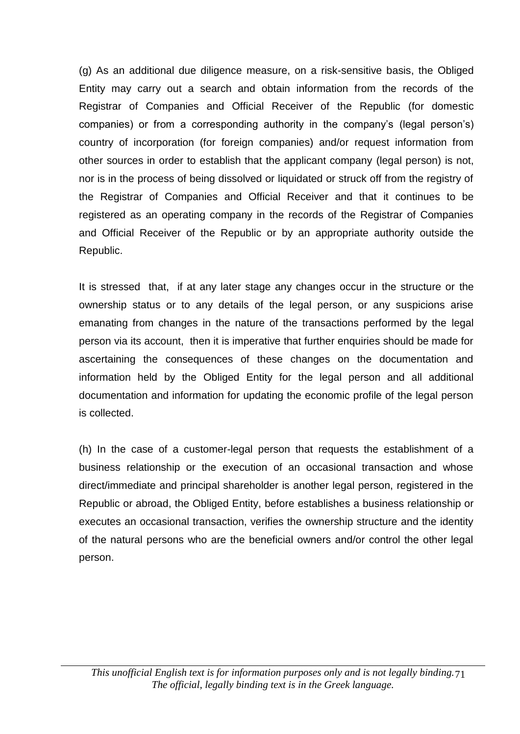(g) As an additional due diligence measure, on a risk-sensitive basis, the Obliged Entity may carry out a search and obtain information from the records of the Registrar of Companies and Official Receiver of the Republic (for domestic companies) or from a corresponding authority in the company's (legal person's) country of incorporation (for foreign companies) and/or request information from other sources in order to establish that the applicant company (legal person) is not, nor is in the process of being dissolved or liquidated or struck off from the registry of the Registrar of Companies and Official Receiver and that it continues to be registered as an operating company in the records of the Registrar of Companies and Official Receiver of the Republic or by an appropriate authority outside the Republic.

It is stressed that, if at any later stage any changes occur in the structure or the ownership status or to any details of the legal person, or any suspicions arise emanating from changes in the nature of the transactions performed by the legal person via its account, then it is imperative that further enquiries should be made for ascertaining the consequences of these changes on the documentation and information held by the Obliged Entity for the legal person and all additional documentation and information for updating the economic profile of the legal person is collected.

(h) In the case of a customer-legal person that requests the establishment of a business relationship or the execution of an occasional transaction and whose direct/immediate and principal shareholder is another legal person, registered in the Republic or abroad, the Obliged Entity, before establishes a business relationship or executes an occasional transaction, verifies the ownership structure and the identity of the natural persons who are the beneficial owners and/or control the other legal person.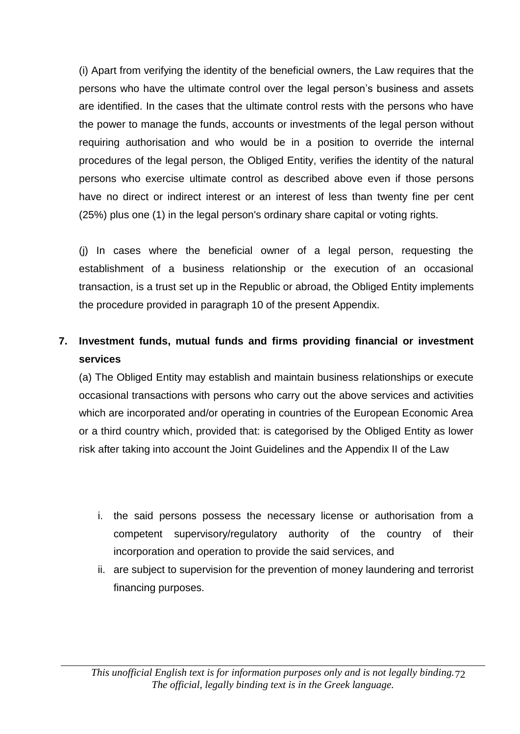(i) Apart from verifying the identity of the beneficial owners, the Law requires that the persons who have the ultimate control over the legal person's business and assets are identified. In the cases that the ultimate control rests with the persons who have the power to manage the funds, accounts or investments of the legal person without requiring authorisation and who would be in a position to override the internal procedures of the legal person, the Obliged Entity, verifies the identity of the natural persons who exercise ultimate control as described above even if those persons have no direct or indirect interest or an interest of less than twenty fine per cent (25%) plus one (1) in the legal person's ordinary share capital or voting rights.

(j) In cases where the beneficial owner of a legal person, requesting the establishment of a business relationship or the execution of an occasional transaction, is a trust set up in the Republic or abroad, the Obliged Entity implements the procedure provided in paragraph 10 of the present Appendix.

## **7. Investment funds, mutual funds and firms providing financial or investment services**

(a) The Obliged Entity may establish and maintain business relationships or execute occasional transactions with persons who carry out the above services and activities which are incorporated and/or operating in countries of the European Economic Area or a third country which, provided that: is categorised by the Obliged Entity as lower risk after taking into account the Joint Guidelines and the Appendix II of the Law

- i. the said persons possess the necessary license or authorisation from a competent supervisory/regulatory authority of the country of their incorporation and operation to provide the said services, and
- ii. are subject to supervision for the prevention of money laundering and terrorist financing purposes.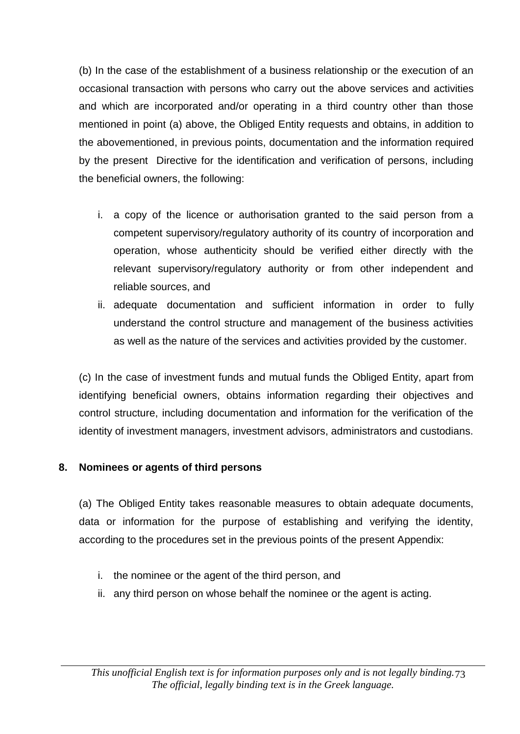(b) In the case of the establishment of a business relationship or the execution of an occasional transaction with persons who carry out the above services and activities and which are incorporated and/or operating in a third country other than those mentioned in point (a) above, the Obliged Entity requests and obtains, in addition to the abovementioned, in previous points, documentation and the information required by the present Directive for the identification and verification of persons, including the beneficial owners, the following:

- i. a copy of the licence or authorisation granted to the said person from a competent supervisory/regulatory authority of its country of incorporation and operation, whose authenticity should be verified either directly with the relevant supervisory/regulatory authority or from other independent and reliable sources, and
- ii. adequate documentation and sufficient information in order to fully understand the control structure and management of the business activities as well as the nature of the services and activities provided by the customer.

(c) In the case of investment funds and mutual funds the Obliged Entity, apart from identifying beneficial owners, obtains information regarding their objectives and control structure, including documentation and information for the verification of the identity of investment managers, investment advisors, administrators and custodians.

## **8. Nominees or agents of third persons**

(a) The Obliged Entity takes reasonable measures to obtain adequate documents, data or information for the purpose of establishing and verifying the identity, according to the procedures set in the previous points of the present Appendix:

- i. the nominee or the agent of the third person, and
- ii. any third person on whose behalf the nominee or the agent is acting.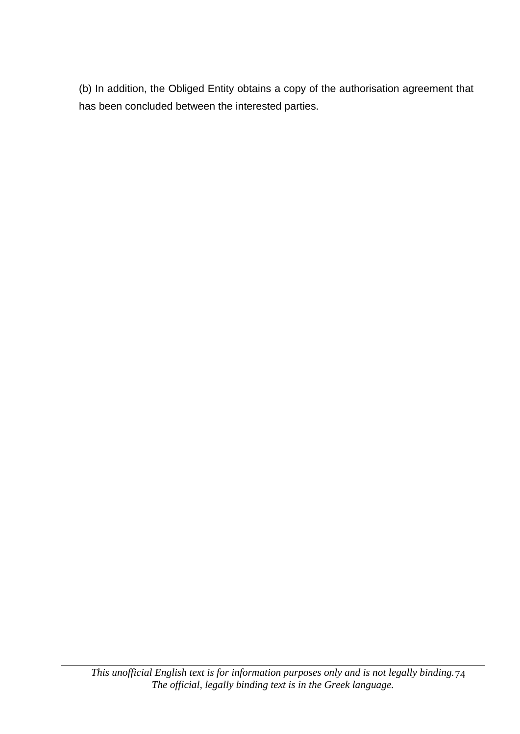(b) In addition, the Obliged Entity obtains a copy of the authorisation agreement that has been concluded between the interested parties.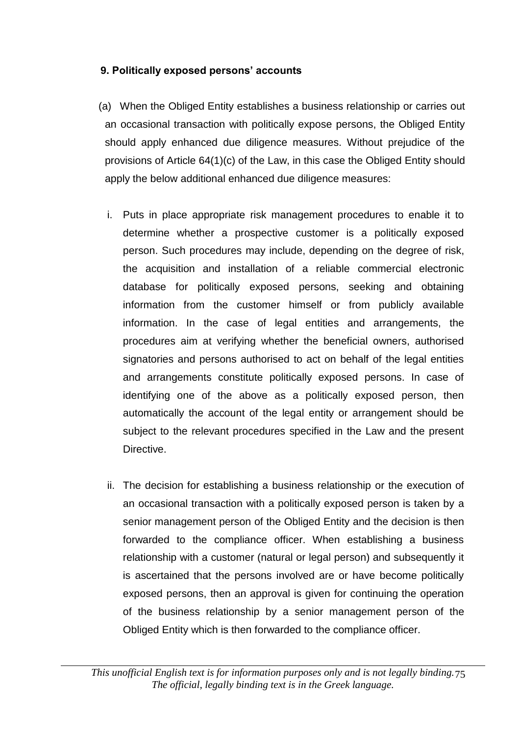## **9. Politically exposed persons' accounts**

- (a) When the Obliged Entity establishes a business relationship or carries out an occasional transaction with politically expose persons, the Obliged Entity should apply enhanced due diligence measures. Without prejudice of the provisions of Article 64(1)(c) of the Law, in this case the Obliged Entity should apply the below additional enhanced due diligence measures:
	- i. Puts in place appropriate risk management procedures to enable it to determine whether a prospective customer is a politically exposed person. Such procedures may include, depending on the degree of risk, the acquisition and installation of a reliable commercial electronic database for politically exposed persons, seeking and obtaining information from the customer himself or from publicly available information. In the case of legal entities and arrangements, the procedures aim at verifying whether the beneficial owners, authorised signatories and persons authorised to act on behalf of the legal entities and arrangements constitute politically exposed persons. In case of identifying one of the above as a politically exposed person, then automatically the account of the legal entity or arrangement should be subject to the relevant procedures specified in the Law and the present Directive.
	- ii. The decision for establishing a business relationship or the execution of an occasional transaction with a politically exposed person is taken by a senior management person of the Obliged Entity and the decision is then forwarded to the compliance officer. When establishing a business relationship with a customer (natural or legal person) and subsequently it is ascertained that the persons involved are or have become politically exposed persons, then an approval is given for continuing the operation of the business relationship by a senior management person of the Obliged Entity which is then forwarded to the compliance officer.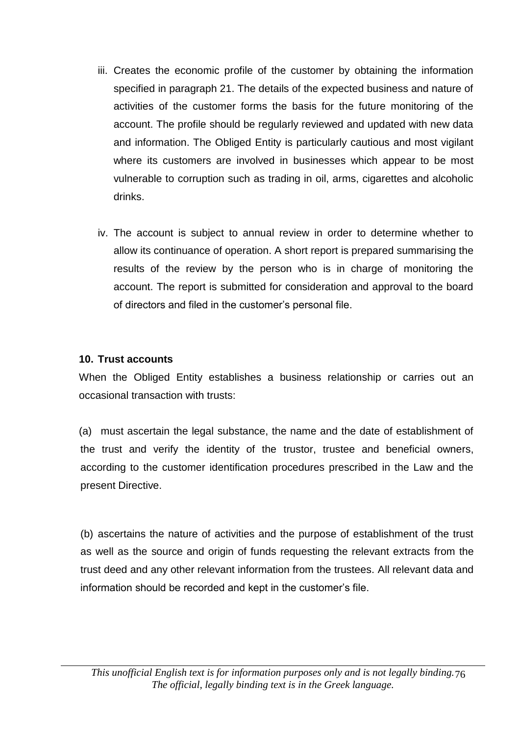- iii. Creates the economic profile of the customer by obtaining the information specified in paragraph 21. The details of the expected business and nature of activities of the customer forms the basis for the future monitoring of the account. The profile should be regularly reviewed and updated with new data and information. The Obliged Entity is particularly cautious and most vigilant where its customers are involved in businesses which appear to be most vulnerable to corruption such as trading in oil, arms, cigarettes and alcoholic drinks.
- iv. The account is subject to annual review in order to determine whether to allow its continuance of operation. A short report is prepared summarising the results of the review by the person who is in charge of monitoring the account. The report is submitted for consideration and approval to the board of directors and filed in the customer's personal file.

## **10. Trust accounts**

When the Obliged Entity establishes a business relationship or carries out an occasional transaction with trusts:

(a) must ascertain the legal substance, the name and the date of establishment of the trust and verify the identity of the trustor, trustee and beneficial owners, according to the customer identification procedures prescribed in the Law and the present Directive.

(b) ascertains the nature of activities and the purpose of establishment of the trust as well as the source and origin of funds requesting the relevant extracts from the trust deed and any other relevant information from the trustees. All relevant data and information should be recorded and kept in the customer's file.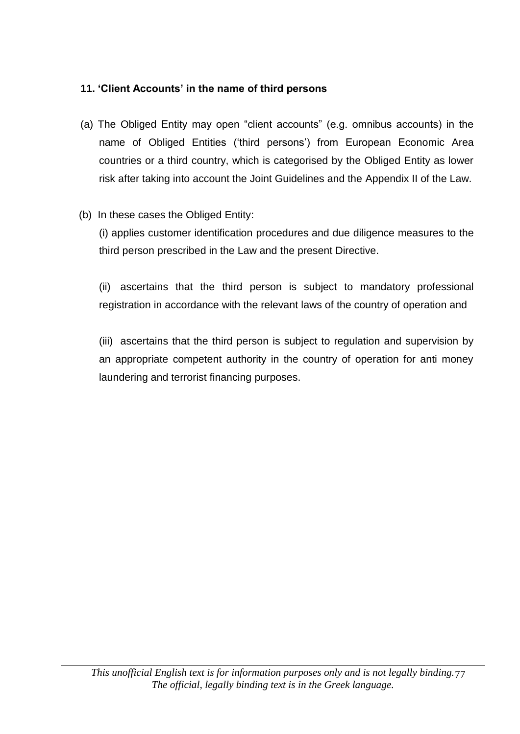## **11. 'Client Accounts' in the name of third persons**

- (a) The Obliged Entity may open "client accounts" (e.g. omnibus accounts) in the name of Obliged Entities ('third persons') from European Economic Area countries or a third country, which is categorised by the Obliged Entity as lower risk after taking into account the Joint Guidelines and the Appendix II of the Law.
- (b) In these cases the Obliged Entity:

(i) applies customer identification procedures and due diligence measures to the third person prescribed in the Law and the present Directive.

(ii) ascertains that the third person is subject to mandatory professional registration in accordance with the relevant laws of the country of operation and

(iii) ascertains that the third person is subject to regulation and supervision by an appropriate competent authority in the country of operation for anti money laundering and terrorist financing purposes.